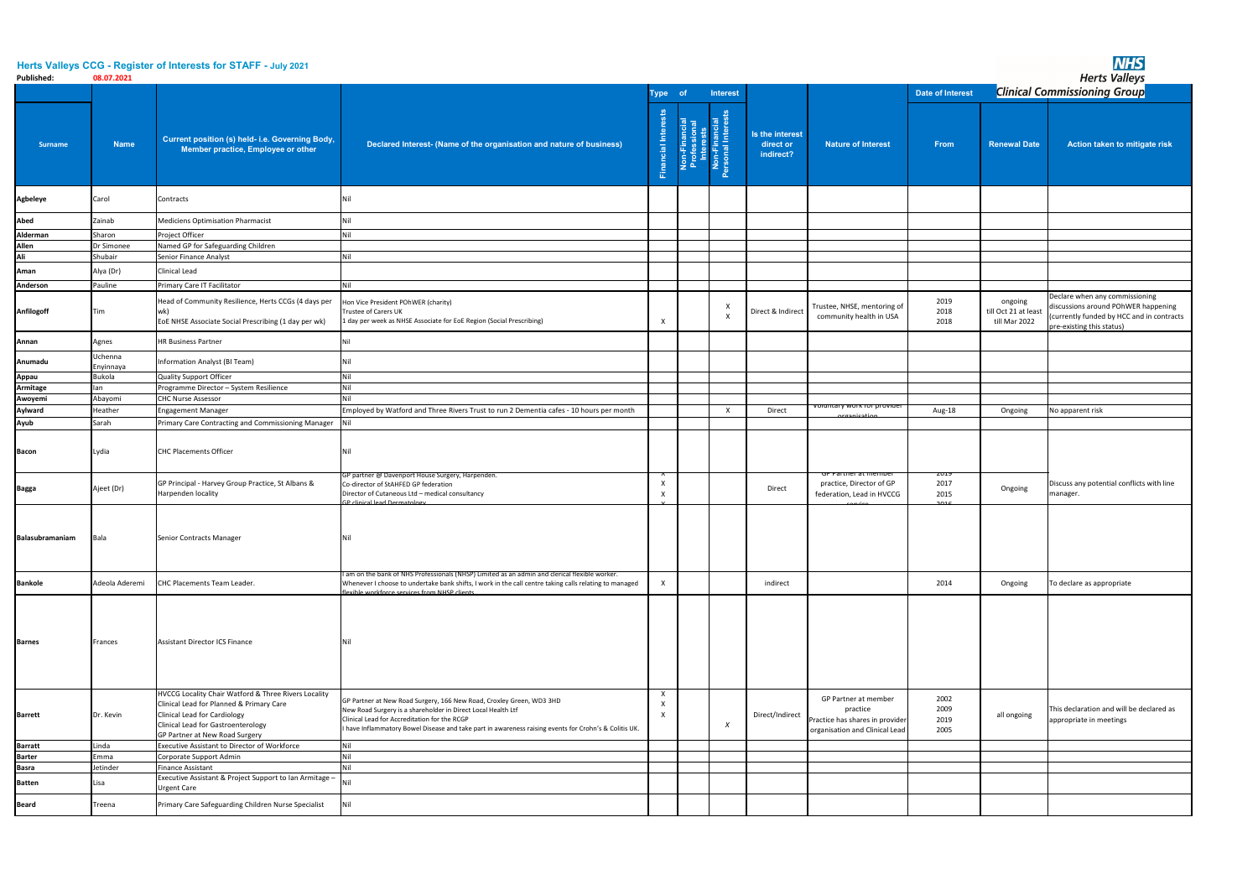| <b>Published:</b>     | 08.07.2021           |                                                                                                                                                                                                                     |                                                                                                                                                                                                                                                                                               |                     |                                                                                   |                 |                                           |                                                                                                       |                              |                                                  | <b>Herts Valleys</b>                                                                                                                            |
|-----------------------|----------------------|---------------------------------------------------------------------------------------------------------------------------------------------------------------------------------------------------------------------|-----------------------------------------------------------------------------------------------------------------------------------------------------------------------------------------------------------------------------------------------------------------------------------------------|---------------------|-----------------------------------------------------------------------------------|-----------------|-------------------------------------------|-------------------------------------------------------------------------------------------------------|------------------------------|--------------------------------------------------|-------------------------------------------------------------------------------------------------------------------------------------------------|
|                       |                      |                                                                                                                                                                                                                     |                                                                                                                                                                                                                                                                                               | <b>Type</b>         | of                                                                                | <b>Interest</b> |                                           |                                                                                                       | <b>Date of Interest</b>      |                                                  | <b>Clinical Commissioning Group</b>                                                                                                             |
| <b>Surname</b>        | <b>Name</b>          | <b>Current position (s) held- i.e. Governing Body,</b><br>Member practice, Employee or other                                                                                                                        | Declared Interest- (Name of the organisation and nature of business)                                                                                                                                                                                                                          | Financial Interests | Non-Financial<br>Professional<br>Interests<br>Non-Financial<br>Personal Interests | <u>. പ</u>      | Is the interest<br>direct or<br>indirect? | <b>Nature of Interest</b>                                                                             | From                         | <b>Renewal Date</b>                              | Action taken to mitigate risk                                                                                                                   |
| Agbeleye              | Carol                | Contracts                                                                                                                                                                                                           | Nil                                                                                                                                                                                                                                                                                           |                     |                                                                                   |                 |                                           |                                                                                                       |                              |                                                  |                                                                                                                                                 |
| <b>Abed</b>           | Zainab               | Mediciens Optimisation Pharmacist                                                                                                                                                                                   |                                                                                                                                                                                                                                                                                               |                     |                                                                                   |                 |                                           |                                                                                                       |                              |                                                  |                                                                                                                                                 |
| Alderman              | Sharon               | Project Officer                                                                                                                                                                                                     | Nil                                                                                                                                                                                                                                                                                           |                     |                                                                                   |                 |                                           |                                                                                                       |                              |                                                  |                                                                                                                                                 |
| <b>Allen</b>          | Dr Simonee           | Named GP for Safeguarding Children                                                                                                                                                                                  |                                                                                                                                                                                                                                                                                               |                     |                                                                                   |                 |                                           |                                                                                                       |                              |                                                  |                                                                                                                                                 |
| Ali                   | Shubair              | Senior Finance Analyst                                                                                                                                                                                              | Nil                                                                                                                                                                                                                                                                                           |                     |                                                                                   |                 |                                           |                                                                                                       |                              |                                                  |                                                                                                                                                 |
| Aman                  | Alya (Dr)            | Clinical Lead                                                                                                                                                                                                       |                                                                                                                                                                                                                                                                                               |                     |                                                                                   |                 |                                           |                                                                                                       |                              |                                                  |                                                                                                                                                 |
| Anderson              | Pauline              | Primary Care IT Facilitator                                                                                                                                                                                         | Nil                                                                                                                                                                                                                                                                                           |                     |                                                                                   |                 |                                           |                                                                                                       |                              |                                                  |                                                                                                                                                 |
| Anfilogoff            | Tim                  | Head of Community Resilience, Herts CCGs (4 days per<br>wk)<br>EOE NHSE Associate Social Prescribing (1 day per wk)                                                                                                 | Hon Vice President POhWER (charity)<br>Trustee of Carers UK<br>1 day per week as NHSE Associate for EoE Region (Social Prescribing)                                                                                                                                                           | $\mathsf{X}$        |                                                                                   | $\mathsf{X}$    | Direct & Indirect                         | Trustee, NHSE, mentoring of<br>community health in USA                                                | 2019<br>2018<br>2018         | ongoing<br>till Oct 21 at least<br>till Mar 2022 | Declare when any commissioning<br>discussions around POhWER happening<br>(currently funded by HCC and in contracts<br>pre-existing this status) |
| Annan                 | Agnes                | HR Business Partner                                                                                                                                                                                                 |                                                                                                                                                                                                                                                                                               |                     |                                                                                   |                 |                                           |                                                                                                       |                              |                                                  |                                                                                                                                                 |
| Anumadu               | Uchenna<br>Enyinnaya | Information Analyst (BI Team)                                                                                                                                                                                       |                                                                                                                                                                                                                                                                                               |                     |                                                                                   |                 |                                           |                                                                                                       |                              |                                                  |                                                                                                                                                 |
| Appau                 | <b>Bukola</b>        | <b>Quality Support Officer</b>                                                                                                                                                                                      |                                                                                                                                                                                                                                                                                               |                     |                                                                                   |                 |                                           |                                                                                                       |                              |                                                  |                                                                                                                                                 |
| Armitage              | lan                  | Programme Director - System Resilience                                                                                                                                                                              | Nil                                                                                                                                                                                                                                                                                           |                     |                                                                                   |                 |                                           |                                                                                                       |                              |                                                  |                                                                                                                                                 |
| Awoyemi               | Abayomi              | <b>CHC Nurse Assessor</b>                                                                                                                                                                                           |                                                                                                                                                                                                                                                                                               |                     |                                                                                   |                 |                                           | voluntary work for provider                                                                           |                              |                                                  |                                                                                                                                                 |
| <b>Aylward</b>        | Heather              | <b>Engagement Manager</b>                                                                                                                                                                                           | Employed by Watford and Three Rivers Trust to run 2 Dementia cafes - 10 hours per month                                                                                                                                                                                                       |                     |                                                                                   |                 | Direct                                    | raanicatiol                                                                                           | Aug-18                       | Ongoing                                          | No apparent risk                                                                                                                                |
| Ayub                  | Sarah                | Primary Care Contracting and Commissioning Manager   Nil                                                                                                                                                            |                                                                                                                                                                                                                                                                                               |                     |                                                                                   |                 |                                           |                                                                                                       |                              |                                                  |                                                                                                                                                 |
| <b>Bacon</b><br>Bagga | Lydia<br>Ajeet (Dr)  | <b>CHC Placements Officer</b><br>GP Principal - Harvey Group Practice, St Albans &<br>Harpenden locality                                                                                                            | GP partner @ Davenport House Surgery, Harpenden.<br>Co-director of StAHFED GP federation<br>Director of Cutaneous Ltd - medical consultancy                                                                                                                                                   |                     |                                                                                   |                 | Direct                                    | <del>ur rartner at member</del><br>practice, Director of GP<br>federation, Lead in HVCCG              | <u>2019 </u><br>2017<br>2015 | Ongoing                                          | Discuss any potential conflicts with line<br>manager.                                                                                           |
| Balasubramaniam       | Bala                 | Senior Contracts Manager                                                                                                                                                                                            | GP clinical lead Dermatology<br>I am on the bank of NHS Professionals (NHSP) Limited as an admin and clerical flexible worker.                                                                                                                                                                |                     |                                                                                   |                 |                                           |                                                                                                       | 201C                         |                                                  |                                                                                                                                                 |
| <b>Bankole</b>        | Adeola Aderemi       | CHC Placements Team Leader.                                                                                                                                                                                         | Whenever I choose to undertake bank shifts, I work in the call centre taking calls relating to managed<br>flexible workforce services from NHSP clients.                                                                                                                                      | $\mathsf{X}$        |                                                                                   |                 | indirect                                  |                                                                                                       | 2014                         | Ongoing                                          | To declare as appropriate                                                                                                                       |
| <b>Barnes</b>         | Frances              | <b>Assistant Director ICS Finance</b>                                                                                                                                                                               | Nil                                                                                                                                                                                                                                                                                           |                     |                                                                                   |                 |                                           |                                                                                                       |                              |                                                  |                                                                                                                                                 |
| <b>Barrett</b>        | Dr. Kevin            | <b>HVCCG Locality Chair Watford &amp; Three Rivers Locality</b><br>Clinical Lead for Planned & Primary Care<br>Clinical Lead for Cardiology<br>Clinical Lead for Gastroenterology<br>GP Partner at New Road Surgery | GP Partner at New Road Surgery, 166 New Road, Croxley Green, WD3 3HD<br>New Road Surgery is a shareholder in Direct Local Health Ltf<br>Clinical Lead for Accreditation for the RCGP<br>I have Inflammatory Bowel Disease and take part in awareness raising events for Crohn's & Colitis UK. | $\mathsf{X}$        |                                                                                   |                 | Direct/Indirect                           | GP Partner at member<br>practice<br>Practice has shares in provider<br>organisation and Clinical Lead | 2002<br>2009<br>2019<br>2005 | all ongoing                                      | This declaration and will be declared as<br>appropriate in meetings                                                                             |
| <b>Barratt</b>        | Linda                | Executive Assistant to Director of Workforce                                                                                                                                                                        |                                                                                                                                                                                                                                                                                               |                     |                                                                                   |                 |                                           |                                                                                                       |                              |                                                  |                                                                                                                                                 |
| <b>Barter</b>         | Emma                 | Corporate Support Admin                                                                                                                                                                                             |                                                                                                                                                                                                                                                                                               |                     |                                                                                   |                 |                                           |                                                                                                       |                              |                                                  |                                                                                                                                                 |
| <b>Basra</b>          | Jetinder             | Finance Assistant<br>Executive Assistant & Project Support to Ian Armitage -                                                                                                                                        |                                                                                                                                                                                                                                                                                               |                     |                                                                                   |                 |                                           |                                                                                                       |                              |                                                  |                                                                                                                                                 |
| <b>Batten</b>         | Lisa                 | <b>Urgent Care</b>                                                                                                                                                                                                  |                                                                                                                                                                                                                                                                                               |                     |                                                                                   |                 |                                           |                                                                                                       |                              |                                                  |                                                                                                                                                 |
| <b>Beard</b>          | Treena               | Primary Care Safeguarding Children Nurse Specialist                                                                                                                                                                 | Nil                                                                                                                                                                                                                                                                                           |                     |                                                                                   |                 |                                           |                                                                                                       |                              |                                                  |                                                                                                                                                 |



## **Herts Valleys CCG - Register of Interests for STAFF - July 2021**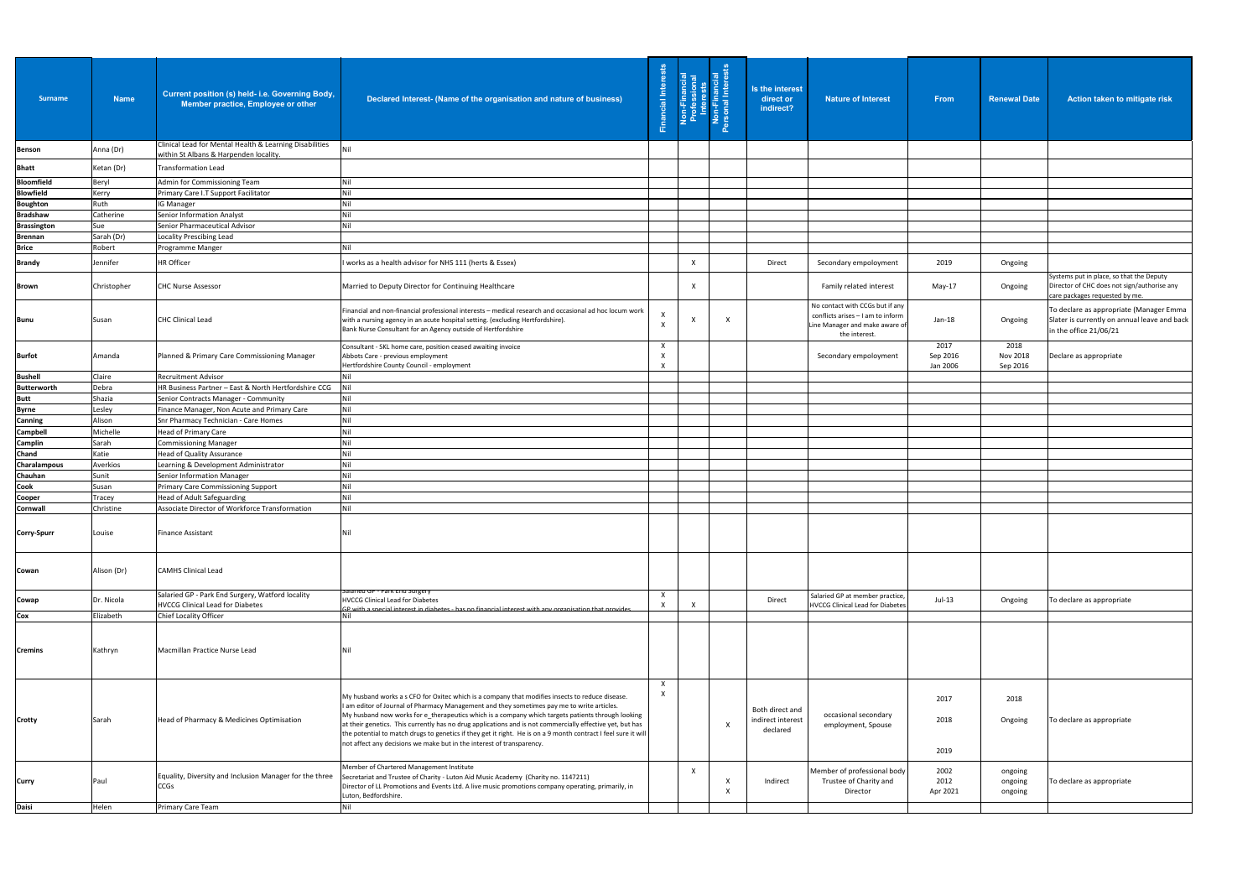| <b>Surname</b>                     | <b>Name</b>     | Current position (s) held- i.e. Governing Body,<br>Member practice, Employee or other        | Declared Interest- (Name of the organisation and nature of business)                                                                                                                                                                                                                                                                                                                                                                                                                                                                                                                                       | <b>Financial Interests</b> | ancial<br>sional<br>›sts | Interests<br>Non-Financial<br>ersonal Interests<br>$\Omega$ | Is the interest<br>direct or<br>indirect?        | <b>Nature of Interest</b>                                                                                               | <b>From</b>                  | <b>Renewal Date</b>           | Action taken to mitigate risk                                                                                             |
|------------------------------------|-----------------|----------------------------------------------------------------------------------------------|------------------------------------------------------------------------------------------------------------------------------------------------------------------------------------------------------------------------------------------------------------------------------------------------------------------------------------------------------------------------------------------------------------------------------------------------------------------------------------------------------------------------------------------------------------------------------------------------------------|----------------------------|--------------------------|-------------------------------------------------------------|--------------------------------------------------|-------------------------------------------------------------------------------------------------------------------------|------------------------------|-------------------------------|---------------------------------------------------------------------------------------------------------------------------|
| <b>Benson</b>                      | Anna (Dr)       | Clinical Lead for Mental Health & Learning Disabilities                                      | Nil                                                                                                                                                                                                                                                                                                                                                                                                                                                                                                                                                                                                        |                            |                          |                                                             |                                                  |                                                                                                                         |                              |                               |                                                                                                                           |
|                                    |                 | within St Albans & Harpenden locality.                                                       |                                                                                                                                                                                                                                                                                                                                                                                                                                                                                                                                                                                                            |                            |                          |                                                             |                                                  |                                                                                                                         |                              |                               |                                                                                                                           |
| <b>Bhatt</b>                       | Ketan (Dr)      | Transformation Lead                                                                          |                                                                                                                                                                                                                                                                                                                                                                                                                                                                                                                                                                                                            |                            |                          |                                                             |                                                  |                                                                                                                         |                              |                               |                                                                                                                           |
| <b>Bloomfield</b>                  | Beryl           | Admin for Commissioning Team                                                                 | Nil<br>Nil                                                                                                                                                                                                                                                                                                                                                                                                                                                                                                                                                                                                 |                            |                          |                                                             |                                                  |                                                                                                                         |                              |                               |                                                                                                                           |
| <b>Blowfield</b>                   | Kerry<br>Ruth   | Primary Care I.T Support Facilitator<br>IG Manager                                           |                                                                                                                                                                                                                                                                                                                                                                                                                                                                                                                                                                                                            |                            |                          |                                                             |                                                  |                                                                                                                         |                              |                               |                                                                                                                           |
| <b>Boughton</b><br><b>Bradshaw</b> | Catherine       | Senior Information Analyst                                                                   |                                                                                                                                                                                                                                                                                                                                                                                                                                                                                                                                                                                                            |                            |                          |                                                             |                                                  |                                                                                                                         |                              |                               |                                                                                                                           |
| <b>Brassington</b>                 | Sue             | Senior Pharmaceutical Advisor                                                                |                                                                                                                                                                                                                                                                                                                                                                                                                                                                                                                                                                                                            |                            |                          |                                                             |                                                  |                                                                                                                         |                              |                               |                                                                                                                           |
| <b>Brennan</b>                     | Sarah (Dr)      | Locality Prescibing Lead                                                                     |                                                                                                                                                                                                                                                                                                                                                                                                                                                                                                                                                                                                            |                            |                          |                                                             |                                                  |                                                                                                                         |                              |                               |                                                                                                                           |
| <b>Brice</b>                       | Robert          | Programme Manger                                                                             |                                                                                                                                                                                                                                                                                                                                                                                                                                                                                                                                                                                                            |                            |                          |                                                             |                                                  |                                                                                                                         |                              |                               |                                                                                                                           |
| <b>Brandy</b>                      | Jennifer        | HR Officer                                                                                   | I works as a health advisor for NHS 111 (herts & Essex)                                                                                                                                                                                                                                                                                                                                                                                                                                                                                                                                                    |                            |                          |                                                             | Direct                                           | Secondary empoloyment                                                                                                   | 2019                         | Ongoing                       |                                                                                                                           |
| <b>Brown</b>                       | Christopher     | <b>CHC Nurse Assessor</b>                                                                    | Married to Deputy Director for Continuing Healthcare                                                                                                                                                                                                                                                                                                                                                                                                                                                                                                                                                       |                            |                          |                                                             |                                                  | Family related interest                                                                                                 | $May-17$                     | Ongoing                       | Systems put in place, so that the Deputy<br>Director of CHC does not sign/authorise any<br>care packages requested by me. |
| <b>Bunu</b>                        | Susan           | CHC Clinical Lead                                                                            | Financial and non-financial professional interests - medical research and occasional ad hoc locum work<br>with a nursing agency in an acute hospital setting. (excluding Hertfordshire).<br>Bank Nurse Consultant for an Agency outside of Hertfordshire                                                                                                                                                                                                                                                                                                                                                   | $\boldsymbol{\mathsf{X}}$  |                          | $\boldsymbol{\mathsf{X}}$                                   |                                                  | No contact with CCGs but if any<br>conflicts arises - I am to inform<br>Line Manager and make aware of<br>the interest. | $Jan-18$                     | Ongoing                       | To declare as appropriate (Manager Emma<br>Slater is currently on annual leave and back<br>in the office 21/06/21         |
| <b>Burfot</b>                      | Amanda          | Planned & Primary Care Commissioning Manager                                                 | Consultant - SKL home care, position ceased awaiting invoice<br>Abbots Care - previous employment<br>Hertfordshire County Council - employment                                                                                                                                                                                                                                                                                                                                                                                                                                                             |                            |                          |                                                             |                                                  | Secondary empoloyment                                                                                                   | 2017<br>Sep 2016<br>Jan 2006 | 2018<br>Nov 2018<br>Sep 2016  | Declare as appropriate                                                                                                    |
| <b>Bushell</b>                     | Claire          | <b>Recruitment Advisor</b>                                                                   | Mil                                                                                                                                                                                                                                                                                                                                                                                                                                                                                                                                                                                                        |                            |                          |                                                             |                                                  |                                                                                                                         |                              |                               |                                                                                                                           |
| <b>Butterworth</b><br><b>Butt</b>  | Debra<br>Shazia | HR Business Partner - East & North Hertfordshire CCG<br>Senior Contracts Manager - Community | <b>INil</b>                                                                                                                                                                                                                                                                                                                                                                                                                                                                                                                                                                                                |                            |                          |                                                             |                                                  |                                                                                                                         |                              |                               |                                                                                                                           |
| <b>Byrne</b>                       | Lesley          | Finance Manager, Non Acute and Primary Care                                                  |                                                                                                                                                                                                                                                                                                                                                                                                                                                                                                                                                                                                            |                            |                          |                                                             |                                                  |                                                                                                                         |                              |                               |                                                                                                                           |
| <b>Canning</b>                     | Alison          | Snr Pharmacy Technician - Care Homes                                                         |                                                                                                                                                                                                                                                                                                                                                                                                                                                                                                                                                                                                            |                            |                          |                                                             |                                                  |                                                                                                                         |                              |                               |                                                                                                                           |
| <b>Campbell</b>                    | Michelle        | <b>Head of Primary Care</b>                                                                  |                                                                                                                                                                                                                                                                                                                                                                                                                                                                                                                                                                                                            |                            |                          |                                                             |                                                  |                                                                                                                         |                              |                               |                                                                                                                           |
| <b>Camplin</b>                     | Sarah           | <b>Commissioning Manager</b>                                                                 |                                                                                                                                                                                                                                                                                                                                                                                                                                                                                                                                                                                                            |                            |                          |                                                             |                                                  |                                                                                                                         |                              |                               |                                                                                                                           |
| <b>Chand</b>                       | Katie           | <b>Head of Quality Assurance</b>                                                             |                                                                                                                                                                                                                                                                                                                                                                                                                                                                                                                                                                                                            |                            |                          |                                                             |                                                  |                                                                                                                         |                              |                               |                                                                                                                           |
| <b>Charalampous</b>                | Averkios        | Learning & Development Administrator                                                         | Nil                                                                                                                                                                                                                                                                                                                                                                                                                                                                                                                                                                                                        |                            |                          |                                                             |                                                  |                                                                                                                         |                              |                               |                                                                                                                           |
| Chauhan                            | Sunit           | Senior Information Manager                                                                   | Nil                                                                                                                                                                                                                                                                                                                                                                                                                                                                                                                                                                                                        |                            |                          |                                                             |                                                  |                                                                                                                         |                              |                               |                                                                                                                           |
| <b>Cook</b>                        | Susan           | <b>Primary Care Commissioning Support</b>                                                    | Nil                                                                                                                                                                                                                                                                                                                                                                                                                                                                                                                                                                                                        |                            |                          |                                                             |                                                  |                                                                                                                         |                              |                               |                                                                                                                           |
| Cooper                             | <b>Tracey</b>   | <b>Head of Adult Safeguarding</b>                                                            |                                                                                                                                                                                                                                                                                                                                                                                                                                                                                                                                                                                                            |                            |                          |                                                             |                                                  |                                                                                                                         |                              |                               |                                                                                                                           |
| <b>Cornwall</b>                    | Christine       | Associate Director of Workforce Transformation                                               |                                                                                                                                                                                                                                                                                                                                                                                                                                                                                                                                                                                                            |                            |                          |                                                             |                                                  |                                                                                                                         |                              |                               |                                                                                                                           |
| Corry-Spurr                        | Louise          | Finance Assistant                                                                            |                                                                                                                                                                                                                                                                                                                                                                                                                                                                                                                                                                                                            |                            |                          |                                                             |                                                  |                                                                                                                         |                              |                               |                                                                                                                           |
| Cowan                              | Alison (Dr)     | <b>CAMHS Clinical Lead</b>                                                                   |                                                                                                                                                                                                                                                                                                                                                                                                                                                                                                                                                                                                            |                            |                          |                                                             |                                                  |                                                                                                                         |                              |                               |                                                                                                                           |
| Cowap                              | Dr. Nicola      | Salaried GP - Park End Surgery, Watford locality<br><b>HVCCG Clinical Lead for Diabetes</b>  | salaried GP - Park End Surgery<br><b>HVCCG Clinical Lead for Diabetes</b>                                                                                                                                                                                                                                                                                                                                                                                                                                                                                                                                  | $\boldsymbol{\mathsf{X}}$  |                          |                                                             | Direct                                           | Salaried GP at member practice,<br><b>HVCCG Clinical Lead for Diabetes</b>                                              | $Jul-13$                     | Ongoing                       | To declare as appropriate                                                                                                 |
| Cox                                | Elizabeth       | Chief Locality Officer                                                                       | <u>2D with a cnocial intoroct in diabotos  has no financial intoroct with any organisation that providos</u>                                                                                                                                                                                                                                                                                                                                                                                                                                                                                               |                            |                          |                                                             |                                                  |                                                                                                                         |                              |                               |                                                                                                                           |
| <b>Cremins</b>                     | Kathryn         | Macmillan Practice Nurse Lead                                                                |                                                                                                                                                                                                                                                                                                                                                                                                                                                                                                                                                                                                            |                            |                          |                                                             |                                                  |                                                                                                                         |                              |                               |                                                                                                                           |
| <b>Crotty</b>                      | Sarah           | Head of Pharmacy & Medicines Optimisation                                                    | My husband works a s CFO for Oxitec which is a company that modifies insects to reduce disease.<br>I am editor of Journal of Pharmacy Management and they sometimes pay me to write articles.<br>My husband now works for e_therapeutics which is a company which targets patients through looking<br>at their genetics. This currently has no drug applications and is not commercially effective yet, but has<br>the potential to match drugs to genetics if they get it right. He is on a 9 month contract I feel sure it will<br>not affect any decisions we make but in the interest of transparency. | X<br>X                     |                          | $\boldsymbol{X}$                                            | Both direct and<br>indirect interest<br>declared | occasional secondary<br>employment, Spouse                                                                              | 2017<br>2018<br>2019         | 2018<br>Ongoing               | To declare as appropriate                                                                                                 |
| <b>Curry</b>                       | Paul            | Equality, Diversity and Inclusion Manager for the three<br><b>CCGs</b>                       | Member of Chartered Management Institute<br>Secretariat and Trustee of Charity - Luton Aid Music Academy (Charity no. 1147211)<br>Director of LL Promotions and Events Ltd. A live music promotions company operating, primarily, in<br>Luton, Bedfordshire.                                                                                                                                                                                                                                                                                                                                               |                            |                          |                                                             | Indirect                                         | Member of professional body<br>Trustee of Charity and<br>Director                                                       | 2002<br>2012<br>Apr 2021     | ongoing<br>ongoing<br>ongoing | To declare as appropriate                                                                                                 |
| <b>Daisi</b>                       | Helen           | <b>Primary Care Team</b>                                                                     | Nil                                                                                                                                                                                                                                                                                                                                                                                                                                                                                                                                                                                                        |                            |                          |                                                             |                                                  |                                                                                                                         |                              |                               |                                                                                                                           |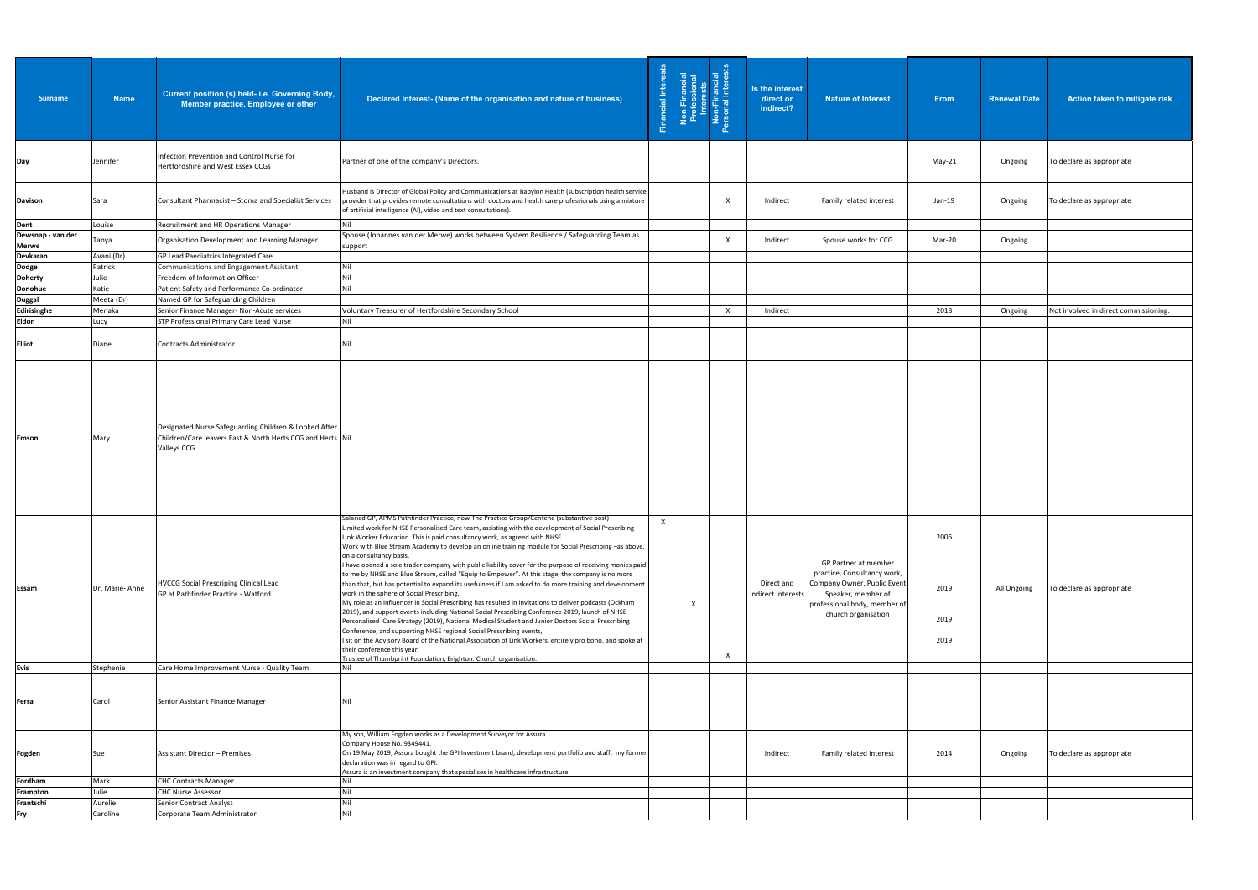| <b>Surname</b>                                   | <b>Name</b>     | <b>Current position (s) held- i.e. Governing Body,</b><br>Member practice, Employee or other                                           | Declared Interest- (Name of the organisation and nature of business)                                                                                                                                                                                                                                                                                                                                                                                                                                                                                                                                                                                                                                                                                                                                                                                                                                                                                                                                                                                                                                                                                                                                                                                                                                                                                                                           | <b>Financial Interests</b> | Non-Financial<br>Professional<br>Interests<br>Non-Financial<br>Personal Interests | $\tilde{\mathbf{a}}$      | Is the interest<br>direct or<br>indirect? | <b>Nature of Interest</b>                                                                                                                                       | <b>From</b>                  | <b>Renewal Date</b> | Action taken to mitigate risk         |
|--------------------------------------------------|-----------------|----------------------------------------------------------------------------------------------------------------------------------------|------------------------------------------------------------------------------------------------------------------------------------------------------------------------------------------------------------------------------------------------------------------------------------------------------------------------------------------------------------------------------------------------------------------------------------------------------------------------------------------------------------------------------------------------------------------------------------------------------------------------------------------------------------------------------------------------------------------------------------------------------------------------------------------------------------------------------------------------------------------------------------------------------------------------------------------------------------------------------------------------------------------------------------------------------------------------------------------------------------------------------------------------------------------------------------------------------------------------------------------------------------------------------------------------------------------------------------------------------------------------------------------------|----------------------------|-----------------------------------------------------------------------------------|---------------------------|-------------------------------------------|-----------------------------------------------------------------------------------------------------------------------------------------------------------------|------------------------------|---------------------|---------------------------------------|
| Day                                              | Jennifer        | Infection Prevention and Control Nurse for<br>Hertfordshire and West Essex CCGs                                                        | Partner of one of the company's Directors.                                                                                                                                                                                                                                                                                                                                                                                                                                                                                                                                                                                                                                                                                                                                                                                                                                                                                                                                                                                                                                                                                                                                                                                                                                                                                                                                                     |                            |                                                                                   |                           |                                           |                                                                                                                                                                 | $May-21$                     | Ongoing             | To declare as appropriate             |
| <b>Davison</b>                                   | Sara            | Consultant Pharmacist - Stoma and Specialist Services                                                                                  | Husband is Director of Global Policy and Communications at Babylon Health (subscription health service<br>provider that provides remote consultations with doctors and health care professionals using a mixture<br>of artificial intelligence (AI), video and text consultations).                                                                                                                                                                                                                                                                                                                                                                                                                                                                                                                                                                                                                                                                                                                                                                                                                                                                                                                                                                                                                                                                                                            |                            |                                                                                   | х                         | Indirect                                  | Family related interest                                                                                                                                         | Jan-19                       | Ongoing             | To declare as appropriate             |
| <b>Dent</b><br>Dewsnap - van der<br><b>Merwe</b> | Louise<br>Tanya | Recruitment and HR Operations Manager<br>Organisation Development and Learning Manager                                                 | Spouse (Johannes van der Merwe) works between System Resilience / Safeguarding Team as<br>support                                                                                                                                                                                                                                                                                                                                                                                                                                                                                                                                                                                                                                                                                                                                                                                                                                                                                                                                                                                                                                                                                                                                                                                                                                                                                              |                            |                                                                                   | $\boldsymbol{\mathsf{X}}$ | Indirect                                  | Spouse works for CCG                                                                                                                                            | Mar-20                       | Ongoing             |                                       |
| Devkaran                                         | Avani (Dr)      | GP Lead Paediatrics Integrated Care                                                                                                    |                                                                                                                                                                                                                                                                                                                                                                                                                                                                                                                                                                                                                                                                                                                                                                                                                                                                                                                                                                                                                                                                                                                                                                                                                                                                                                                                                                                                |                            |                                                                                   |                           |                                           |                                                                                                                                                                 |                              |                     |                                       |
| <b>Dodge</b>                                     | Patrick         | Communications and Engagement Assistant                                                                                                | Nil                                                                                                                                                                                                                                                                                                                                                                                                                                                                                                                                                                                                                                                                                                                                                                                                                                                                                                                                                                                                                                                                                                                                                                                                                                                                                                                                                                                            |                            |                                                                                   |                           |                                           |                                                                                                                                                                 |                              |                     |                                       |
| <b>Doherty</b>                                   | Julie           | Freedom of Information Officer                                                                                                         | Nil                                                                                                                                                                                                                                                                                                                                                                                                                                                                                                                                                                                                                                                                                                                                                                                                                                                                                                                                                                                                                                                                                                                                                                                                                                                                                                                                                                                            |                            |                                                                                   |                           |                                           |                                                                                                                                                                 |                              |                     |                                       |
| <b>Donohue</b>                                   | Katie           | Patient Safety and Performance Co-ordinator                                                                                            | Nil                                                                                                                                                                                                                                                                                                                                                                                                                                                                                                                                                                                                                                                                                                                                                                                                                                                                                                                                                                                                                                                                                                                                                                                                                                                                                                                                                                                            |                            |                                                                                   |                           |                                           |                                                                                                                                                                 |                              |                     |                                       |
| <b>Duggal</b>                                    | Meeta (Dr)      | Named GP for Safeguarding Children                                                                                                     |                                                                                                                                                                                                                                                                                                                                                                                                                                                                                                                                                                                                                                                                                                                                                                                                                                                                                                                                                                                                                                                                                                                                                                                                                                                                                                                                                                                                |                            |                                                                                   |                           |                                           |                                                                                                                                                                 |                              |                     |                                       |
| Edirisinghe                                      | Menaka          | Senior Finance Manager- Non-Acute services                                                                                             | Voluntary Treasurer of Hertfordshire Secondary School                                                                                                                                                                                                                                                                                                                                                                                                                                                                                                                                                                                                                                                                                                                                                                                                                                                                                                                                                                                                                                                                                                                                                                                                                                                                                                                                          |                            |                                                                                   | $\mathsf{X}$              | Indirect                                  |                                                                                                                                                                 | 2018                         | Ongoing             | Not involved in direct commissioning. |
| <b>Eldon</b>                                     | Lucy            | STP Professional Primary Care Lead Nurse                                                                                               | Nil                                                                                                                                                                                                                                                                                                                                                                                                                                                                                                                                                                                                                                                                                                                                                                                                                                                                                                                                                                                                                                                                                                                                                                                                                                                                                                                                                                                            |                            |                                                                                   |                           |                                           |                                                                                                                                                                 |                              |                     |                                       |
| <b>Elliot</b>                                    | Diane           | Contracts Administrator                                                                                                                |                                                                                                                                                                                                                                                                                                                                                                                                                                                                                                                                                                                                                                                                                                                                                                                                                                                                                                                                                                                                                                                                                                                                                                                                                                                                                                                                                                                                |                            |                                                                                   |                           |                                           |                                                                                                                                                                 |                              |                     |                                       |
| <b>Emson</b>                                     | Mary            | Designated Nurse Safeguarding Children & Looked After  <br>Children/Care leavers East & North Herts CCG and Herts  Nil<br>Valleys CCG. |                                                                                                                                                                                                                                                                                                                                                                                                                                                                                                                                                                                                                                                                                                                                                                                                                                                                                                                                                                                                                                                                                                                                                                                                                                                                                                                                                                                                |                            |                                                                                   |                           |                                           |                                                                                                                                                                 |                              |                     |                                       |
| Essam                                            | Dr. Marie-Anne  | HVCCG Social Prescriping Clinical Lead<br>GP at Pathfinder Practice - Watford                                                          | Salaried GP, APMS Pathfinder Practice, now The Practice Group/Centene (substantive post)<br>Limited work for NHSE Personalised Care team, assisting with the development of Social Prescribing<br>Link Worker Education. This is paid consultancy work, as agreed with NHSE.<br>Work with Blue Stream Academy to develop an online training module for Social Prescribing -as above,<br>on a consultancy basis.<br>I have opened a sole trader company with public liability cover for the purpose of receiving monies paid<br>to me by NHSE and Blue Stream, called "Equip to Empower". At this stage, the company is no more<br>than that, but has potential to expand its usefulness if I am asked to do more training and development<br>work in the sphere of Social Prescribing.<br>My role as an influencer in Social Prescribing has resulted in invitations to deliver podcasts (Ockham<br>2019), and support events including National Social Prescribing Conference 2019, launch of NHSE<br>Personalised Care Strategy (2019), National Medical Student and Junior Doctors Social Prescribing<br>Conference, and supporting NHSE regional Social Prescribing events,<br>I sit on the Advisory Board of the National Association of Link Workers, entirely pro bono, and spoke at<br>their conference this year.<br>Trustee of Thumbprint Foundation, Brighton. Church organisation. | $\mathsf{X}$               |                                                                                   | $\boldsymbol{\mathsf{X}}$ | Direct and<br>indirect interests          | GP Partner at member<br>practice, Consultancy work,<br>Company Owner, Public Event<br>Speaker, member of<br>professional body, member of<br>church organisation | 2006<br>2019<br>2019<br>2019 | All Ongoing         | To declare as appropriate             |
| Evis                                             | Stephenie       | Care Home Improvement Nurse - Quality Team                                                                                             |                                                                                                                                                                                                                                                                                                                                                                                                                                                                                                                                                                                                                                                                                                                                                                                                                                                                                                                                                                                                                                                                                                                                                                                                                                                                                                                                                                                                |                            |                                                                                   |                           |                                           |                                                                                                                                                                 |                              |                     |                                       |
|                                                  |                 |                                                                                                                                        |                                                                                                                                                                                                                                                                                                                                                                                                                                                                                                                                                                                                                                                                                                                                                                                                                                                                                                                                                                                                                                                                                                                                                                                                                                                                                                                                                                                                |                            |                                                                                   |                           |                                           |                                                                                                                                                                 |                              |                     |                                       |
| <b>Ferra</b>                                     | Carol           | Senior Assistant Finance Manager                                                                                                       |                                                                                                                                                                                                                                                                                                                                                                                                                                                                                                                                                                                                                                                                                                                                                                                                                                                                                                                                                                                                                                                                                                                                                                                                                                                                                                                                                                                                |                            |                                                                                   |                           |                                           |                                                                                                                                                                 |                              |                     |                                       |
| Fogden                                           | Sue             | <b>Assistant Director - Premises</b>                                                                                                   | My son, William Fogden works as a Development Surveyor for Assura.<br>Company House No. 9349441.<br>On 19 May 2019, Assura bought the GPI Investment brand, development portfolio and staff; my former<br>declaration was in regard to GPI.<br>Assura is an investment company that specialises in healthcare infrastructure                                                                                                                                                                                                                                                                                                                                                                                                                                                                                                                                                                                                                                                                                                                                                                                                                                                                                                                                                                                                                                                                   |                            |                                                                                   |                           | Indirect                                  | Family related interest                                                                                                                                         | 2014                         | Ongoing             | To declare as appropriate             |
| Fordham                                          | Mark            | <b>CHC Contracts Manager</b>                                                                                                           |                                                                                                                                                                                                                                                                                                                                                                                                                                                                                                                                                                                                                                                                                                                                                                                                                                                                                                                                                                                                                                                                                                                                                                                                                                                                                                                                                                                                |                            |                                                                                   |                           |                                           |                                                                                                                                                                 |                              |                     |                                       |
| Frampton                                         | Julie           | <b>CHC Nurse Assessor</b>                                                                                                              | Nil                                                                                                                                                                                                                                                                                                                                                                                                                                                                                                                                                                                                                                                                                                                                                                                                                                                                                                                                                                                                                                                                                                                                                                                                                                                                                                                                                                                            |                            |                                                                                   |                           |                                           |                                                                                                                                                                 |                              |                     |                                       |
| Frantschi                                        | Aurelie         | <b>Senior Contract Analyst</b>                                                                                                         |                                                                                                                                                                                                                                                                                                                                                                                                                                                                                                                                                                                                                                                                                                                                                                                                                                                                                                                                                                                                                                                                                                                                                                                                                                                                                                                                                                                                |                            |                                                                                   |                           |                                           |                                                                                                                                                                 |                              |                     |                                       |
| <b>Fry</b>                                       | Caroline        | Corporate Team Administrator                                                                                                           | Nil                                                                                                                                                                                                                                                                                                                                                                                                                                                                                                                                                                                                                                                                                                                                                                                                                                                                                                                                                                                                                                                                                                                                                                                                                                                                                                                                                                                            |                            |                                                                                   |                           |                                           |                                                                                                                                                                 |                              |                     |                                       |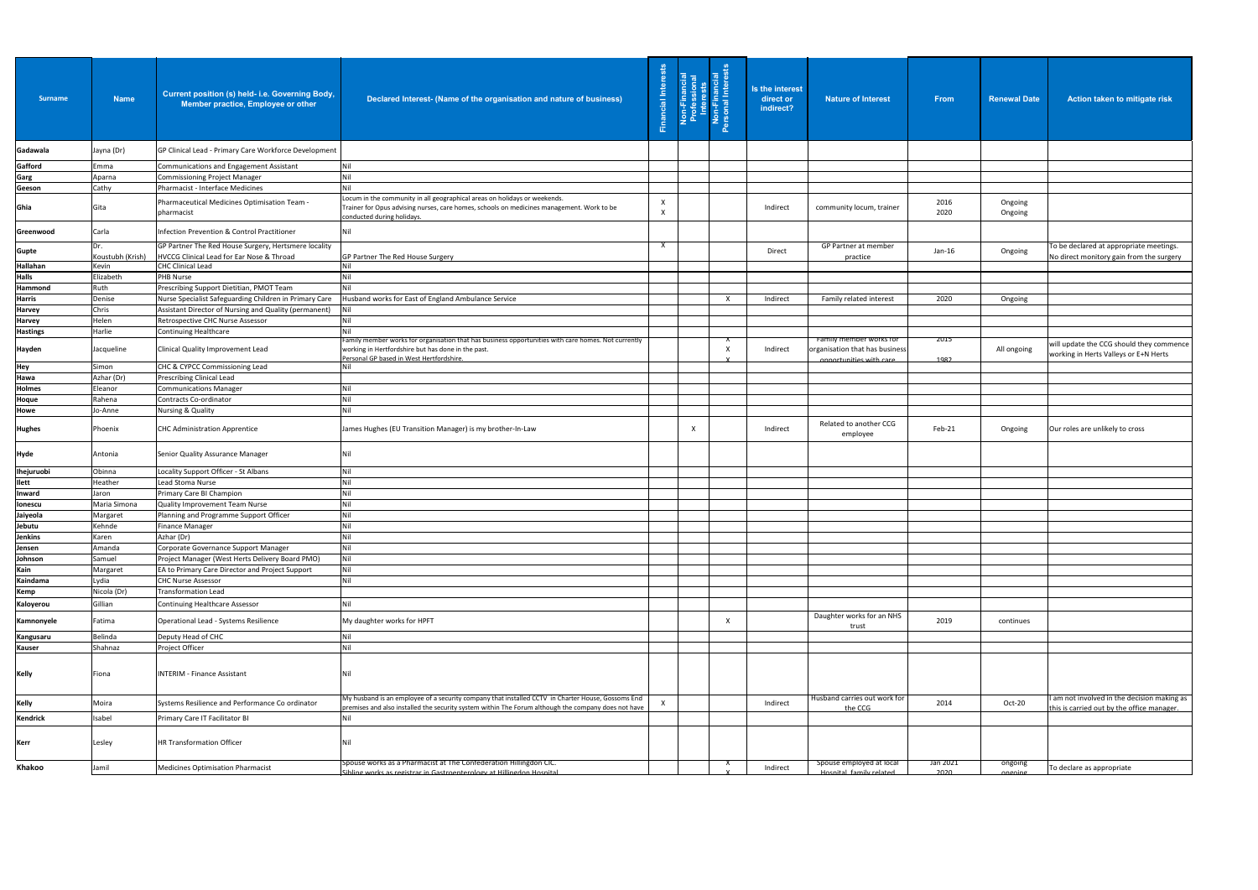| <b>Surname</b>                   | <b>Name</b>              | <b>Current position (s) held- i.e. Governing Body,</b><br>Member practice, Employee or other      | Declared Interest- (Name of the organisation and nature of business)                                                                                                                                     | <b>Financial Interests</b> | Non-Financial<br>Professional<br>Interests<br>Non-Financial<br>Personal Interests<br>$\Omega$ | Is the interest<br>direct or<br>indirect? | <b>Nature of Interest</b>                                                            | <b>From</b>  | <b>Renewal Date</b> | Action taken to mitigate risk                                                             |
|----------------------------------|--------------------------|---------------------------------------------------------------------------------------------------|----------------------------------------------------------------------------------------------------------------------------------------------------------------------------------------------------------|----------------------------|-----------------------------------------------------------------------------------------------|-------------------------------------------|--------------------------------------------------------------------------------------|--------------|---------------------|-------------------------------------------------------------------------------------------|
| Gadawala                         | Jayna (Dr)               | GP Clinical Lead - Primary Care Workforce Development                                             |                                                                                                                                                                                                          |                            |                                                                                               |                                           |                                                                                      |              |                     |                                                                                           |
| Gafford                          | Emma                     | Communications and Engagement Assistant                                                           |                                                                                                                                                                                                          |                            |                                                                                               |                                           |                                                                                      |              |                     |                                                                                           |
| Garg                             | Aparna                   | Commissioning Project Manager                                                                     |                                                                                                                                                                                                          |                            |                                                                                               |                                           |                                                                                      |              |                     |                                                                                           |
| Geeson                           | Cathy                    | <b>Pharmacist - Interface Medicines</b>                                                           |                                                                                                                                                                                                          |                            |                                                                                               |                                           |                                                                                      |              |                     |                                                                                           |
| Ghia                             | Gita                     | Pharmaceutical Medicines Optimisation Team -<br>pharmacist                                        | Locum in the community in all geographical areas on holidays or weekends.<br>Trainer for Opus advising nurses, care homes, schools on medicines management. Work to be<br>conducted during holidays.     |                            |                                                                                               | Indirect                                  | community locum, trainer                                                             | 2016<br>2020 | Ongoing<br>Ongoing  |                                                                                           |
| Greenwood                        | Carla                    | Infection Prevention & Control Practitioner                                                       |                                                                                                                                                                                                          |                            |                                                                                               |                                           |                                                                                      |              |                     |                                                                                           |
| <b>Gupte</b>                     | IDr.<br>Koustubh (Krish) | GP Partner The Red House Surgery, Hertsmere locality<br>HVCCG Clinical Lead for Ear Nose & Throad | GP Partner The Red House Surgery                                                                                                                                                                         | X.                         |                                                                                               | Direct                                    | GP Partner at member<br>practice                                                     | $Jan-16$     | Ongoing             | To be declared at appropriate meetings.<br>No direct monitory gain from the surgery       |
| <b>Hallahan</b>                  | Kevin                    | <b>CHC Clinical Lead</b>                                                                          |                                                                                                                                                                                                          |                            |                                                                                               |                                           |                                                                                      |              |                     |                                                                                           |
| <b>Halls</b>                     | Elizabeth                | PHB Nurse                                                                                         |                                                                                                                                                                                                          |                            |                                                                                               |                                           |                                                                                      |              |                     |                                                                                           |
| Hammond                          | Ruth                     | Prescribing Support Dietitian, PMOT Team                                                          |                                                                                                                                                                                                          |                            |                                                                                               |                                           |                                                                                      |              |                     |                                                                                           |
| <b>Harris</b>                    | Denise                   | Nurse Specialist Safeguarding Children in Primary Care                                            | Husband works for East of England Ambulance Service                                                                                                                                                      |                            | $\mathsf{X}$                                                                                  | Indirect                                  | Family related interest                                                              | 2020         | Ongoing             |                                                                                           |
| <b>Harvey</b>                    | Chris                    | Assistant Director of Nursing and Quality (permanent)                                             |                                                                                                                                                                                                          |                            |                                                                                               |                                           |                                                                                      |              |                     |                                                                                           |
| <b>Harvey</b>                    | Helen<br>Harlie          | Retrospective CHC Nurse Assessor                                                                  |                                                                                                                                                                                                          |                            |                                                                                               |                                           |                                                                                      |              |                     |                                                                                           |
| <b>Hastings</b><br><b>Hayden</b> | Jacqueline               | <b>Continuing Healthcare</b><br>Clinical Quality Improvement Lead                                 | Family member works for organisation that has business opportunities with care homes. Not currently<br>working in Hertfordshire but has done in the past.<br>Personal GP based in West Hertfordshire.    |                            |                                                                                               | Indirect                                  | Family member works for<br>organisation that has business<br>onnortunities with care | 2015<br>1982 | All ongoing         | will update the CCG should they commence<br>working in Herts Valleys or E+N Herts         |
| Hey                              | Simon                    | CHC & CYPCC Commissioning Lead                                                                    |                                                                                                                                                                                                          |                            |                                                                                               |                                           |                                                                                      |              |                     |                                                                                           |
| <b>Hawa</b>                      | Azhar (Dr)               | <b>Prescribing Clinical Lead</b>                                                                  |                                                                                                                                                                                                          |                            |                                                                                               |                                           |                                                                                      |              |                     |                                                                                           |
| <b>Holmes</b>                    | Eleanor                  | <b>Communications Manager</b>                                                                     |                                                                                                                                                                                                          |                            |                                                                                               |                                           |                                                                                      |              |                     |                                                                                           |
| <b>Hoque</b>                     | Rahena                   | Contracts Co-ordinator                                                                            |                                                                                                                                                                                                          |                            |                                                                                               |                                           |                                                                                      |              |                     |                                                                                           |
| <b>Howe</b>                      | Jo-Anne                  | Nursing & Quality                                                                                 |                                                                                                                                                                                                          |                            |                                                                                               |                                           |                                                                                      |              |                     |                                                                                           |
| <b>Hughes</b>                    | Phoenix                  | CHC Administration Apprentice                                                                     | James Hughes (EU Transition Manager) is my brother-In-Law                                                                                                                                                |                            |                                                                                               | Indirect                                  | Related to another CCG<br>employee                                                   | Feb-21       | Ongoing             | Our roles are unlikely to cross                                                           |
| <b>Hyde</b>                      | Antonia                  | Senior Quality Assurance Manager                                                                  |                                                                                                                                                                                                          |                            |                                                                                               |                                           |                                                                                      |              |                     |                                                                                           |
| <b>Ihejuruobi</b>                | Obinna                   | Locality Support Officer - St Albans                                                              | Nil                                                                                                                                                                                                      |                            |                                                                                               |                                           |                                                                                      |              |                     |                                                                                           |
| <b>Ilett</b>                     | Heather                  | Lead Stoma Nurse                                                                                  |                                                                                                                                                                                                          |                            |                                                                                               |                                           |                                                                                      |              |                     |                                                                                           |
| Inward                           | Jaron                    | Primary Care BI Champion                                                                          |                                                                                                                                                                                                          |                            |                                                                                               |                                           |                                                                                      |              |                     |                                                                                           |
| <b>lonescu</b><br>Jaiyeola       | Maria Simona<br>Margaret | Quality Improvement Team Nurse<br>Planning and Programme Support Officer                          |                                                                                                                                                                                                          |                            |                                                                                               |                                           |                                                                                      |              |                     |                                                                                           |
| Jebutu                           | Kehnde                   | <b>Finance Manager</b>                                                                            |                                                                                                                                                                                                          |                            |                                                                                               |                                           |                                                                                      |              |                     |                                                                                           |
| <b>Jenkins</b>                   | Karen                    | Azhar (Dr)                                                                                        |                                                                                                                                                                                                          |                            |                                                                                               |                                           |                                                                                      |              |                     |                                                                                           |
| Jensen                           | Amanda                   | Corporate Governance Support Manager                                                              |                                                                                                                                                                                                          |                            |                                                                                               |                                           |                                                                                      |              |                     |                                                                                           |
| Johnson                          | Samuel                   | Project Manager (West Herts Delivery Board PMO)                                                   | Nil                                                                                                                                                                                                      |                            |                                                                                               |                                           |                                                                                      |              |                     |                                                                                           |
| Kain                             | Margaret                 | EA to Primary Care Director and Project Support                                                   | Nil                                                                                                                                                                                                      |                            |                                                                                               |                                           |                                                                                      |              |                     |                                                                                           |
| Kaindama                         | Lydia                    | <b>CHC Nurse Assessor</b>                                                                         |                                                                                                                                                                                                          |                            |                                                                                               |                                           |                                                                                      |              |                     |                                                                                           |
| Kemp                             | Nicola (Dr)              | <b>Transformation Lead</b>                                                                        |                                                                                                                                                                                                          |                            |                                                                                               |                                           |                                                                                      |              |                     |                                                                                           |
| Kaloyerou                        | Gillian                  | Continuing Healthcare Assessor                                                                    |                                                                                                                                                                                                          |                            |                                                                                               |                                           |                                                                                      |              |                     |                                                                                           |
| Kamnonyele                       | Fatima                   | Operational Lead - Systems Resilience                                                             | My daughter works for HPFT                                                                                                                                                                               |                            |                                                                                               |                                           | Daughter works for an NHS<br>trust                                                   | 2019         | continues           |                                                                                           |
| Kangusaru                        | Belinda                  | Deputy Head of CHC                                                                                |                                                                                                                                                                                                          |                            |                                                                                               |                                           |                                                                                      |              |                     |                                                                                           |
| <b>Kauser</b>                    | Shahnaz                  | Project Officer                                                                                   |                                                                                                                                                                                                          |                            |                                                                                               |                                           |                                                                                      |              |                     |                                                                                           |
| <b>Kelly</b>                     | Fiona                    | <b>INTERIM - Finance Assistant</b>                                                                |                                                                                                                                                                                                          |                            |                                                                                               |                                           |                                                                                      |              |                     |                                                                                           |
| <b>Kelly</b>                     | Moira                    | Systems Resilience and Performance Co ordinator                                                   | My husband is an employee of a security company that installed CCTV in Charter House, Gossoms End<br>premises and also installed the security system within The Forum although the company does not have |                            |                                                                                               | Indirect                                  | Husband carries out work for<br>the CCG                                              | 2014         | Oct-20              | I am not involved in the decision making as<br>this is carried out by the office manager. |
| <b>Kendrick</b>                  | Isabel                   | Primary Care IT Facilitator BI                                                                    |                                                                                                                                                                                                          |                            |                                                                                               |                                           |                                                                                      |              |                     |                                                                                           |
| <b>Kerr</b>                      | Lesley                   | HR Transformation Officer                                                                         |                                                                                                                                                                                                          |                            |                                                                                               |                                           |                                                                                      |              |                     |                                                                                           |
| Khakoo                           | Jamil                    | Medicines Optimisation Pharmacist                                                                 | Spouse works as a Pharmacist at The Confederation Hillingdon CIC.                                                                                                                                        |                            |                                                                                               | Indirect                                  | Spouse employed at local                                                             | Jan 2021     | ongoing             | To declare as appropriate                                                                 |
|                                  |                          |                                                                                                   | Sibling works as registrar in Gastroenterology at Hillingdon Hospital                                                                                                                                    |                            |                                                                                               |                                           | Hosnital family related                                                              | 2020         | ongoing             |                                                                                           |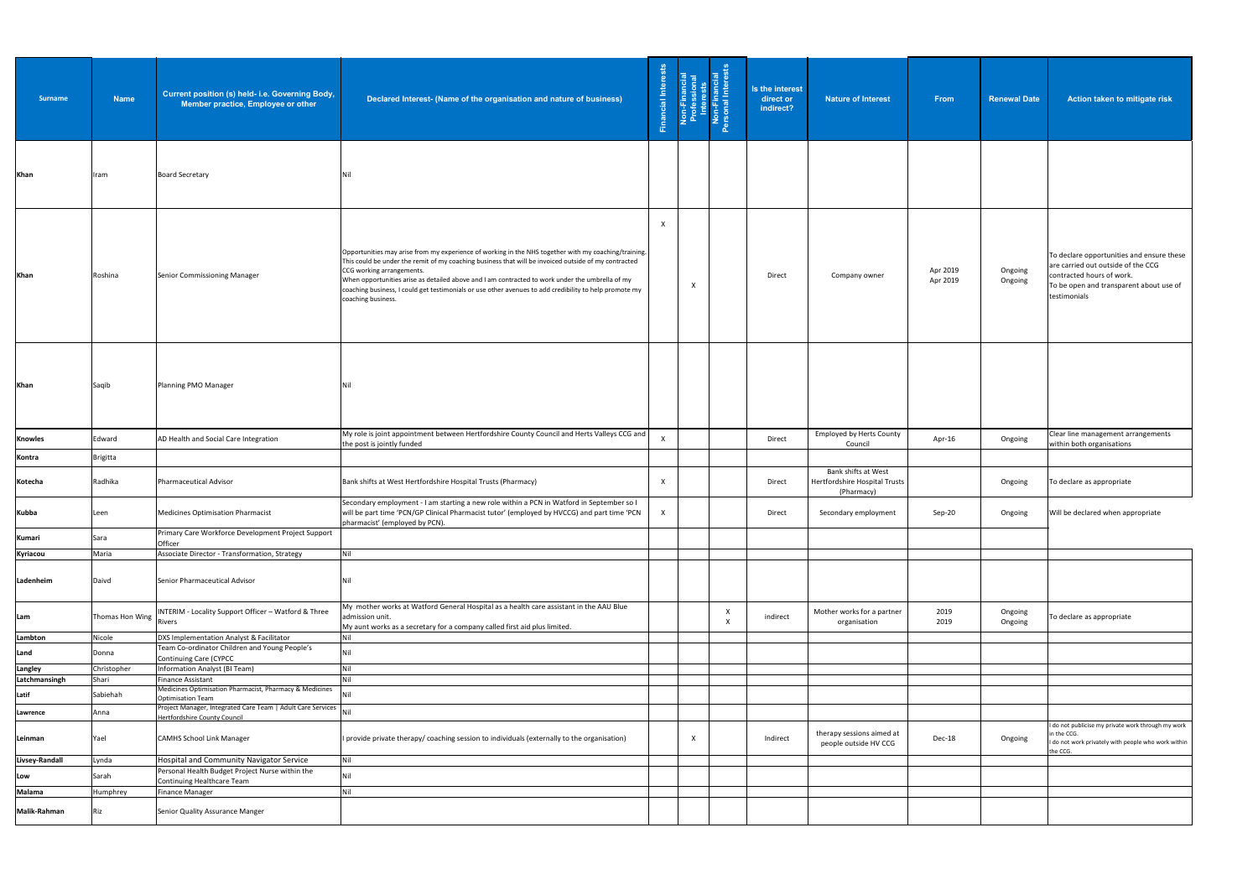| <b>Surname</b>           | <b>Name</b>                                                                     | Current position (s) held- i.e. Governing Body,<br>Member practice, Employee or other     | Declared Interest- (Name of the organisation and nature of business)                                                                                                                                                                                                                                                                                                                                                                                                         | <b>Financial Interests</b> | <b>Cia</b><br>Sional<br>Sts | Non-Financial<br>Professional<br>Interests<br>Non-Financial<br>Personal Interests<br>۱ñ. | Is the interest<br>direct or<br>indirect? | <b>Nature of Interest</b>                                          | <b>From</b>          | <b>Renewal Date</b> | Action taken to mitigate risk                                                                                                                                           |
|--------------------------|---------------------------------------------------------------------------------|-------------------------------------------------------------------------------------------|------------------------------------------------------------------------------------------------------------------------------------------------------------------------------------------------------------------------------------------------------------------------------------------------------------------------------------------------------------------------------------------------------------------------------------------------------------------------------|----------------------------|-----------------------------|------------------------------------------------------------------------------------------|-------------------------------------------|--------------------------------------------------------------------|----------------------|---------------------|-------------------------------------------------------------------------------------------------------------------------------------------------------------------------|
| <b>Khan</b>              | <b>Iram</b>                                                                     | <b>Board Secretary</b>                                                                    |                                                                                                                                                                                                                                                                                                                                                                                                                                                                              |                            |                             |                                                                                          |                                           |                                                                    |                      |                     |                                                                                                                                                                         |
| <b>Khan</b>              | Roshina                                                                         | Senior Commissioning Manager                                                              | Opportunities may arise from my experience of working in the NHS together with my coaching/training.<br>This could be under the remit of my coaching business that will be invoiced outside of my contracted<br>CCG working arrangements.<br>When opportunities arise as detailed above and I am contracted to work under the umbrella of my<br>coaching business, I could get testimonials or use other avenues to add credibility to help promote my<br>coaching business. | $\mathsf{x}$               |                             |                                                                                          | Direct                                    | Company owner                                                      | Apr 2019<br>Apr 2019 | Ongoing<br>Ongoing  | To declare opportunities and ensure these<br>are carried out outside of the CCG<br>contracted hours of work.<br>To be open and transparent about use of<br>testimonials |
| Khan                     | Saqib                                                                           | Planning PMO Manager                                                                      |                                                                                                                                                                                                                                                                                                                                                                                                                                                                              |                            |                             |                                                                                          |                                           |                                                                    |                      |                     |                                                                                                                                                                         |
| <b>Knowles</b>           | Edward                                                                          | AD Health and Social Care Integration                                                     | My role is joint appointment between Hertfordshire County Council and Herts Valleys CCG and<br>the post is jointly funded                                                                                                                                                                                                                                                                                                                                                    | $\mathsf{X}$               |                             |                                                                                          | Direct                                    | <b>Employed by Herts County</b><br>Council                         | Apr-16               | Ongoing             | Clear line management arrangements<br>within both organisations                                                                                                         |
| Kontra                   | <b>Brigitta</b>                                                                 |                                                                                           |                                                                                                                                                                                                                                                                                                                                                                                                                                                                              |                            |                             |                                                                                          |                                           |                                                                    |                      |                     |                                                                                                                                                                         |
| Kotecha                  | Radhika                                                                         | Pharmaceutical Advisor                                                                    | Bank shifts at West Hertfordshire Hospital Trusts (Pharmacy)                                                                                                                                                                                                                                                                                                                                                                                                                 |                            |                             |                                                                                          | Direct                                    | Bank shifts at West<br>Hertfordshire Hospital Trusts<br>(Pharmacy) |                      | Ongoing             | To declare as appropriate                                                                                                                                               |
| <b>Kubba</b>             | Leen                                                                            | Medicines Optimisation Pharmacist                                                         | Secondary employment - I am starting a new role within a PCN in Watford in September so I<br>will be part time 'PCN/GP Clinical Pharmacist tutor' (employed by HVCCG) and part time 'PCN<br>pharmacist' (employed by PCN).                                                                                                                                                                                                                                                   | X                          |                             |                                                                                          | Direct                                    | Secondary employment                                               | Sep-20               | Ongoing             | Will be declared when appropriate                                                                                                                                       |
| <b>Kumari</b>            | Sara                                                                            | Primary Care Workforce Development Project Support<br>Officer                             |                                                                                                                                                                                                                                                                                                                                                                                                                                                                              |                            |                             |                                                                                          |                                           |                                                                    |                      |                     |                                                                                                                                                                         |
| Kyriacou                 | Maria                                                                           | Associate Director - Transformation, Strategy                                             | Nil                                                                                                                                                                                                                                                                                                                                                                                                                                                                          |                            |                             |                                                                                          |                                           |                                                                    |                      |                     |                                                                                                                                                                         |
| Ladenheim                | Daivd                                                                           | Senior Pharmaceutical Advisor                                                             |                                                                                                                                                                                                                                                                                                                                                                                                                                                                              |                            |                             |                                                                                          |                                           |                                                                    |                      |                     |                                                                                                                                                                         |
| Lam                      | Thomas Hon Wing $\left  \begin{array}{c}  \\ \text{Rivers} \end{array} \right $ | <b>INTERIM - Locality Support Officer - Watford &amp; Three</b>                           | My mother works at Watford General Hospital as a health care assistant in the AAU Blue<br>admission unit.<br>My aunt works as a secretary for a company called first aid plus limited.                                                                                                                                                                                                                                                                                       |                            |                             | X<br>$\boldsymbol{\mathsf{X}}$                                                           | indirect                                  | Mother works for a partner<br>organisation                         | 2019<br>2019         | Ongoing<br>Ongoing  | To declare as appropriate                                                                                                                                               |
| Lambton                  | Nicole                                                                          | DXS Implementation Analyst & Facilitator<br>Team Co-ordinator Children and Young People's |                                                                                                                                                                                                                                                                                                                                                                                                                                                                              |                            |                             |                                                                                          |                                           |                                                                    |                      |                     |                                                                                                                                                                         |
| Land                     | Donna                                                                           | Continuing Care (CYPCC                                                                    |                                                                                                                                                                                                                                                                                                                                                                                                                                                                              |                            |                             |                                                                                          |                                           |                                                                    |                      |                     |                                                                                                                                                                         |
| Langley<br>Latchmansingh | Christopher<br>Shari                                                            | Information Analyst (BI Team)<br>Finance Assistant                                        |                                                                                                                                                                                                                                                                                                                                                                                                                                                                              |                            |                             |                                                                                          |                                           |                                                                    |                      |                     |                                                                                                                                                                         |
| Latif                    | Sabiehah                                                                        | Medicines Optimisation Pharmacist, Pharmacy & Medicines                                   | Nil                                                                                                                                                                                                                                                                                                                                                                                                                                                                          |                            |                             |                                                                                          |                                           |                                                                    |                      |                     |                                                                                                                                                                         |
| Lawrence                 | Anna                                                                            | <b>Optimisation Team</b><br>Project Manager, Integrated Care Team   Adult Care Services   |                                                                                                                                                                                                                                                                                                                                                                                                                                                                              |                            |                             |                                                                                          |                                           |                                                                    |                      |                     |                                                                                                                                                                         |
| Leinman                  | Yael                                                                            | Hertfordshire County Council<br><b>CAMHS School Link Manager</b>                          | I provide private therapy/ coaching session to individuals (externally to the organisation)                                                                                                                                                                                                                                                                                                                                                                                  |                            |                             |                                                                                          | Indirect                                  | therapy sessions aimed at<br>people outside HV CCG                 | Dec-18               | Ongoing             | I do not publicise my private work through my work<br>in the CCG.<br>I do not work privately with people who work within<br>the CCG.                                    |
| Livsey-Randall           | Lynda                                                                           | Hospital and Community Navigator Service                                                  | Nil                                                                                                                                                                                                                                                                                                                                                                                                                                                                          |                            |                             |                                                                                          |                                           |                                                                    |                      |                     |                                                                                                                                                                         |
| Low                      | Sarah                                                                           | Personal Health Budget Project Nurse within the<br>Continuing Healthcare Team             |                                                                                                                                                                                                                                                                                                                                                                                                                                                                              |                            |                             |                                                                                          |                                           |                                                                    |                      |                     |                                                                                                                                                                         |
| <b>Malama</b>            | Humphrey                                                                        | Finance Manager                                                                           | Nil                                                                                                                                                                                                                                                                                                                                                                                                                                                                          |                            |                             |                                                                                          |                                           |                                                                    |                      |                     |                                                                                                                                                                         |
| Malik-Rahman             | <b>Riz</b>                                                                      | Senior Quality Assurance Manger                                                           |                                                                                                                                                                                                                                                                                                                                                                                                                                                                              |                            |                             |                                                                                          |                                           |                                                                    |                      |                     |                                                                                                                                                                         |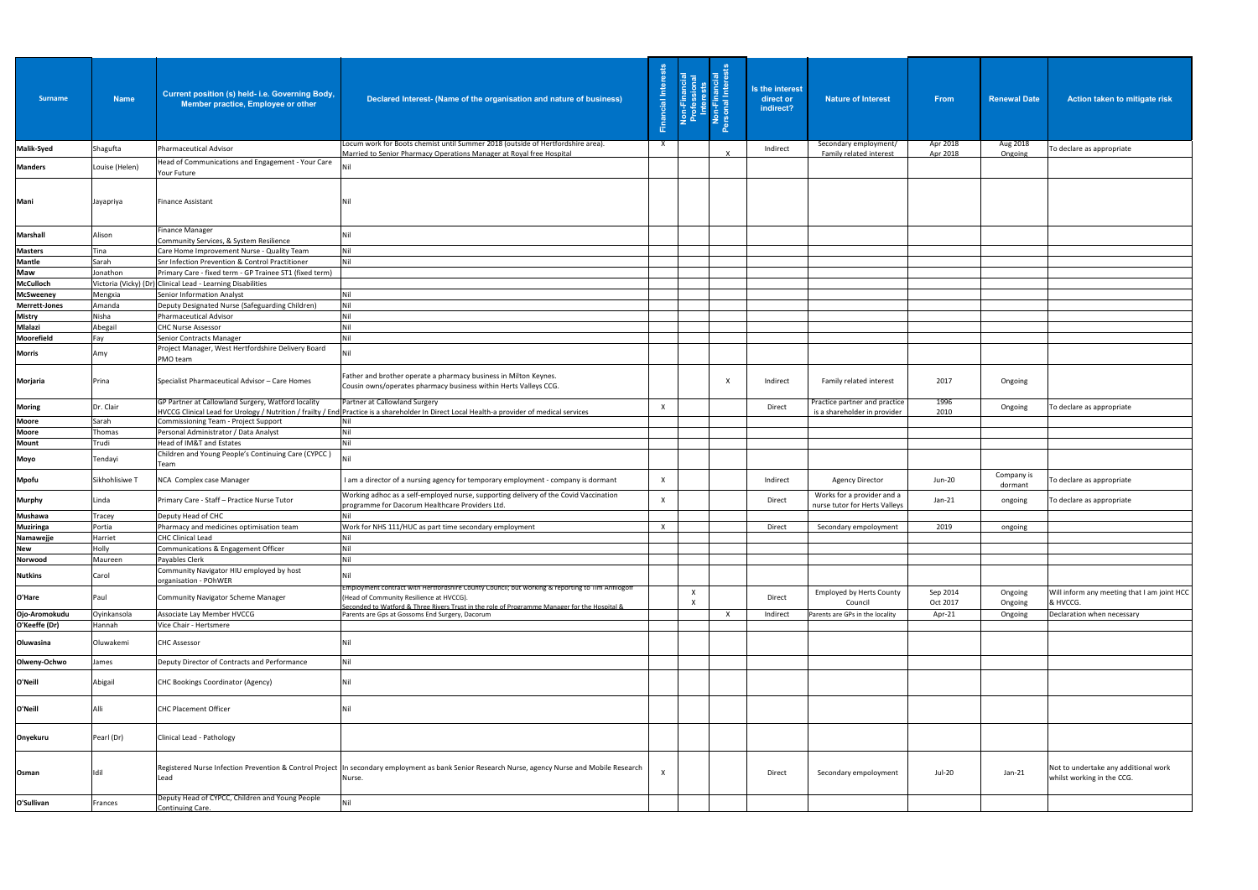| <b>Surname</b>                  | <b>Name</b>     | Current position (s) held- i.e. Governing Body,<br>Member practice, Employee or other | Declared Interest- (Name of the organisation and nature of business)                                                                                                                                                                         | <b>Financial Interests</b> | Financial<br>essional<br>ierests<br>創<br><b>SP</b><br>Pro | Non-Financial<br>Personal Interests | Is the interest<br>direct or<br>indirect? | <b>Nature of Interest</b>                                   | <b>From</b>          | <b>Renewal Date</b>   | Action taken to mitigate risk                                      |
|---------------------------------|-----------------|---------------------------------------------------------------------------------------|----------------------------------------------------------------------------------------------------------------------------------------------------------------------------------------------------------------------------------------------|----------------------------|-----------------------------------------------------------|-------------------------------------|-------------------------------------------|-------------------------------------------------------------|----------------------|-----------------------|--------------------------------------------------------------------|
| <b>Malik-Syed</b>               | Shagufta        | Pharmaceutical Advisor                                                                | Locum work for Boots chemist until Summer 2018 (outside of Hertfordshire area).<br>Married to Senior Pharmacy Operations Manager at Royal free Hospital                                                                                      | $\mathsf{X}$               |                                                           |                                     | Indirect                                  | Secondary employment/<br>Family related interest            | Apr 2018<br>Apr 2018 | Aug 2018<br>Ongoing   | To declare as appropriate                                          |
| <b>Manders</b>                  | Louise (Helen)  | Head of Communications and Engagement - Your Care<br>Your Future                      |                                                                                                                                                                                                                                              |                            |                                                           |                                     |                                           |                                                             |                      |                       |                                                                    |
| Mani                            | Jayapriya       | <b>Finance Assistant</b>                                                              |                                                                                                                                                                                                                                              |                            |                                                           |                                     |                                           |                                                             |                      |                       |                                                                    |
| <b>Marshall</b>                 | Alison          | Finance Manager<br>Community Services, & System Resilience                            |                                                                                                                                                                                                                                              |                            |                                                           |                                     |                                           |                                                             |                      |                       |                                                                    |
| <b>Masters</b>                  | Tina            | Care Home Improvement Nurse - Quality Team                                            | Nil                                                                                                                                                                                                                                          |                            |                                                           |                                     |                                           |                                                             |                      |                       |                                                                    |
| <b>Mantle</b>                   | Sarah           | Snr Infection Prevention & Control Practitioner                                       | Nil                                                                                                                                                                                                                                          |                            |                                                           |                                     |                                           |                                                             |                      |                       |                                                                    |
| <b>Maw</b>                      | Jonathon        | Primary Care - fixed term - GP Trainee ST1 (fixed term)                               |                                                                                                                                                                                                                                              |                            |                                                           |                                     |                                           |                                                             |                      |                       |                                                                    |
| <b>McCulloch</b>                |                 | Victoria (Vicky) (Dr) Clinical Lead - Learning Disabilities                           |                                                                                                                                                                                                                                              |                            |                                                           |                                     |                                           |                                                             |                      |                       |                                                                    |
| <b>McSweeney</b>                | Mengxia         | Senior Information Analyst                                                            |                                                                                                                                                                                                                                              |                            |                                                           |                                     |                                           |                                                             |                      |                       |                                                                    |
| <b>Merrett-Jones</b>            | Amanda          | Deputy Designated Nurse (Safeguarding Children)                                       | Nil                                                                                                                                                                                                                                          |                            |                                                           |                                     |                                           |                                                             |                      |                       |                                                                    |
| <b>Mistry</b><br><b>Mlalazi</b> | Nisha           | Pharmaceutical Advisor                                                                |                                                                                                                                                                                                                                              |                            |                                                           |                                     |                                           |                                                             |                      |                       |                                                                    |
| <b>Moorefield</b>               | Abegail<br>Fay  | <b>CHC Nurse Assessor</b><br>Senior Contracts Manager                                 |                                                                                                                                                                                                                                              |                            |                                                           |                                     |                                           |                                                             |                      |                       |                                                                    |
|                                 |                 | Project Manager, West Hertfordshire Delivery Board                                    |                                                                                                                                                                                                                                              |                            |                                                           |                                     |                                           |                                                             |                      |                       |                                                                    |
| <b>Morris</b>                   | Amy             | PMO team                                                                              |                                                                                                                                                                                                                                              |                            |                                                           |                                     |                                           |                                                             |                      |                       |                                                                    |
| Morjaria                        | Prina           | Specialist Pharmaceutical Advisor - Care Homes                                        | Father and brother operate a pharmacy business in Milton Keynes.<br>Cousin owns/operates pharmacy business within Herts Valleys CCG.                                                                                                         |                            |                                                           |                                     | Indirect                                  | Family related interest                                     | 2017                 | Ongoing               |                                                                    |
| <b>Moring</b>                   | Dr. Clair       | GP Partner at Callowland Surgery, Watford locality                                    | Partner at Callowland Surgery                                                                                                                                                                                                                | $\mathsf{X}$               |                                                           |                                     | Direct                                    | Practice partner and practice                               | 1996                 | Ongoing               | To declare as appropriate                                          |
|                                 |                 |                                                                                       | HVCCG Clinical Lead for Urology / Nutrition / frailty / End Practice is a shareholder In Direct Local Health-a provider of medical services                                                                                                  |                            |                                                           |                                     |                                           | is a shareholder in provider                                | 2010                 |                       |                                                                    |
| <b>Moore</b><br><b>Moore</b>    | Sarah<br>Thomas | Commissioning Team - Project Support<br>Personal Administrator / Data Analyst         |                                                                                                                                                                                                                                              |                            |                                                           |                                     |                                           |                                                             |                      |                       |                                                                    |
| <b>Mount</b>                    | Trudi           | Head of IM&T and Estates                                                              |                                                                                                                                                                                                                                              |                            |                                                           |                                     |                                           |                                                             |                      |                       |                                                                    |
| Moyo                            | Tendayi         | Children and Young People's Continuing Care (CYPCC)<br>Team                           |                                                                                                                                                                                                                                              |                            |                                                           |                                     |                                           |                                                             |                      |                       |                                                                    |
| <b>Mpofu</b>                    | Sikhohlisiwe T  | NCA Complex case Manager                                                              | I am a director of a nursing agency for temporary employment - company is dormant                                                                                                                                                            | $\mathsf{x}$               |                                                           |                                     | Indirect                                  | <b>Agency Director</b>                                      | <b>Jun-20</b>        | Company is<br>dormant | To declare as appropriate                                          |
| <b>Murphy</b>                   | Linda           | Primary Care - Staff - Practice Nurse Tutor                                           | Working adhoc as a self-employed nurse, supporting delivery of the Covid Vaccination<br>programme for Dacorum Healthcare Providers Ltd.                                                                                                      |                            |                                                           |                                     | Direct                                    | Works for a provider and a<br>nurse tutor for Herts Valleys | $Jan-21$             | ongoing               | To declare as appropriate                                          |
| <b>Mushawa</b>                  | Tracey          | Deputy Head of CHC                                                                    |                                                                                                                                                                                                                                              |                            |                                                           |                                     |                                           |                                                             |                      |                       |                                                                    |
| <b>Muziringa</b>                | Portia          | Pharmacy and medicines optimisation team                                              | Work for NHS 111/HUC as part time secondary employment                                                                                                                                                                                       | $\mathsf{X}$               |                                                           |                                     | Direct                                    | Secondary empoloyment                                       | 2019                 | ongoing               |                                                                    |
| Namawejje                       | Harriet         | CHC Clinical Lead                                                                     |                                                                                                                                                                                                                                              |                            |                                                           |                                     |                                           |                                                             |                      |                       |                                                                    |
| <b>New</b>                      | Holly           | Communications & Engagement Officer                                                   |                                                                                                                                                                                                                                              |                            |                                                           |                                     |                                           |                                                             |                      |                       |                                                                    |
| Norwood                         | Maureen         | Payables Clerk                                                                        |                                                                                                                                                                                                                                              |                            |                                                           |                                     |                                           |                                                             |                      |                       |                                                                    |
| <b>Nutkins</b>                  | Carol           | Community Navigator HIU employed by host<br>organisation - POhWER                     |                                                                                                                                                                                                                                              |                            |                                                           |                                     |                                           |                                                             |                      |                       |                                                                    |
| O'Hare                          | Paul            | Community Navigator Scheme Manager                                                    | mployment contract with Hertfordshire County Council; but working & reporting to Tim Anfilogoff:<br>(Head of Community Resilience at HVCCG).<br>Seconded to Watford & Three Rivers Trust in the role of Programme Manager for the Hospital & |                            |                                                           |                                     | Direct                                    | <b>Employed by Herts County</b><br>Council                  | Sep 2014<br>Oct 2017 | Ongoing<br>Ongoing    | Will inform any meeting that I am joint HCC<br>& HVCCG.            |
| Ojo-Aromokudu                   | Oyinkansola     | Associate Lay Member HVCCG                                                            | Parents are Gps at Gossoms End Surgery, Dacorum                                                                                                                                                                                              |                            |                                                           |                                     | Indirect                                  | Parents are GPs in the locality                             | Apr-21               | Ongoing               | Declaration when necessary                                         |
| O'Keeffe (Dr)                   | Hannah          | Vice Chair - Hertsmere                                                                |                                                                                                                                                                                                                                              |                            |                                                           |                                     |                                           |                                                             |                      |                       |                                                                    |
| Oluwasina                       | Oluwakemi       | <b>CHC Assessor</b>                                                                   |                                                                                                                                                                                                                                              |                            |                                                           |                                     |                                           |                                                             |                      |                       |                                                                    |
| Olweny-Ochwo                    | James           | Deputy Director of Contracts and Performance                                          |                                                                                                                                                                                                                                              |                            |                                                           |                                     |                                           |                                                             |                      |                       |                                                                    |
| O'Neill                         | Abigail         | CHC Bookings Coordinator (Agency)                                                     |                                                                                                                                                                                                                                              |                            |                                                           |                                     |                                           |                                                             |                      |                       |                                                                    |
| O'Neill                         | Alli            | <b>CHC Placement Officer</b>                                                          |                                                                                                                                                                                                                                              |                            |                                                           |                                     |                                           |                                                             |                      |                       |                                                                    |
| Onyekuru                        | Pearl (Dr)      | Clinical Lead - Pathology                                                             |                                                                                                                                                                                                                                              |                            |                                                           |                                     |                                           |                                                             |                      |                       |                                                                    |
| Osman                           | lldi            | Lead                                                                                  | Registered Nurse Infection Prevention & Control Project In secondary employment as bank Senior Research Nurse, agency Nurse and Mobile Research<br>Nurse.                                                                                    | $\mathsf{X}$               |                                                           |                                     | Direct                                    | Secondary empoloyment                                       | Jul-20               | $Jan-21$              | Not to undertake any additional work<br>whilst working in the CCG. |
| O'Sullivan                      | Frances         | Deputy Head of CYPCC, Children and Young People<br>Continuing Care.                   |                                                                                                                                                                                                                                              |                            |                                                           |                                     |                                           |                                                             |                      |                       |                                                                    |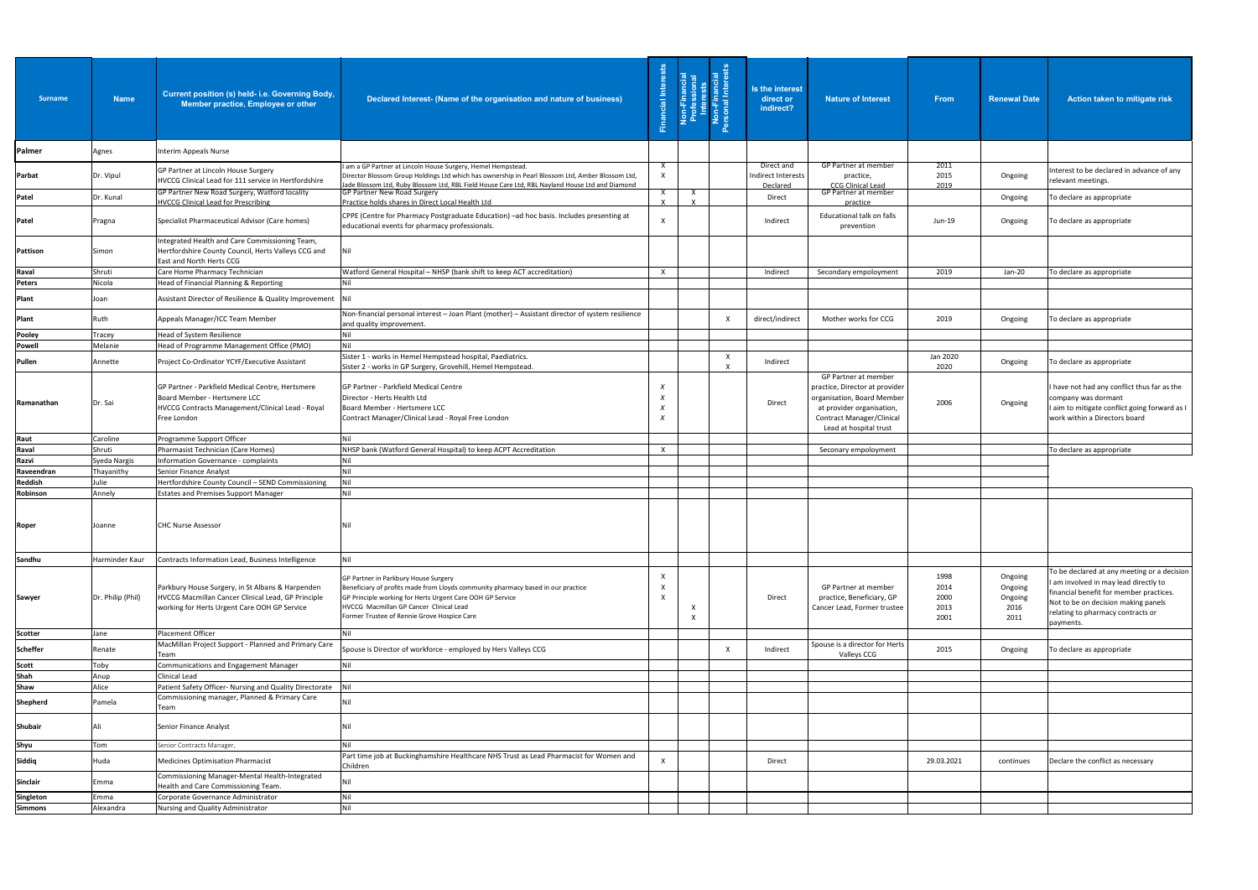| <b>Surname</b>          | <b>Name</b>            | <b>Current position (s) held- i.e. Governing Body,</b><br>Member practice, Employee or other                                                           | Declared Interest- (Name of the organisation and nature of business)                                                                                                                                                                                                            | <b>Financial Interests</b> | ancial<br>sional<br>ssts<br>S<br>Prof | Non-Financial<br>ersonal Interests | Is the interest<br>direct or<br>indirect?    | <b>Nature of Interest</b>                                                                                                                                                       | <b>From</b>                          | <b>Renewal Date</b>                           | Action taken to mitigate risk                                                                                                                                                                                            |
|-------------------------|------------------------|--------------------------------------------------------------------------------------------------------------------------------------------------------|---------------------------------------------------------------------------------------------------------------------------------------------------------------------------------------------------------------------------------------------------------------------------------|----------------------------|---------------------------------------|------------------------------------|----------------------------------------------|---------------------------------------------------------------------------------------------------------------------------------------------------------------------------------|--------------------------------------|-----------------------------------------------|--------------------------------------------------------------------------------------------------------------------------------------------------------------------------------------------------------------------------|
| Palmer                  | Agnes                  | Interim Appeals Nurse                                                                                                                                  |                                                                                                                                                                                                                                                                                 |                            |                                       |                                    |                                              |                                                                                                                                                                                 |                                      |                                               |                                                                                                                                                                                                                          |
| Parbat                  | Dr. Vipul              | GP Partner at Lincoln House Surgery<br>HVCCG Clinical Lead for 111 service in Hertfordshire                                                            | I am a GP Partner at Lincoln House Surgery, Hemel Hempstead.<br>Director Blossom Group Holdings Ltd which has ownership in Pearl Blossom Ltd, Amber Blossom Ltd,<br>Jade Blossom Ltd, Ruby Blossom Ltd, RBL Field House Care Ltd, RBL Nayland House Ltd and Diamond             | X.<br>$\mathsf{X}$         |                                       |                                    | Direct and<br>Indirect Interests<br>Declared | <b>GP Partner at member</b><br>practice,<br><b>CCG Clinical Lead</b>                                                                                                            | 2011<br>2015<br>2019                 | Ongoing                                       | Interest to be declared in advance of any<br>relevant meetings.                                                                                                                                                          |
| Patel                   | Dr. Kunal              | GP Partner New Road Surgery, Watford locality<br><b>HVCCG Clinical Lead for Prescribing</b>                                                            | <b>GP Partner New Road Surgery</b><br>Practice holds shares in Direct Local Health Ltd                                                                                                                                                                                          | X.                         |                                       |                                    | Direct                                       | <b>GP Partner at member</b><br>practice                                                                                                                                         |                                      | Ongoing                                       | To declare as appropriate                                                                                                                                                                                                |
| <b>Patel</b>            | Pragna                 | Specialist Pharmaceutical Advisor (Care homes)                                                                                                         | CPPE (Centre for Pharmacy Postgraduate Education) -ad hoc basis. Includes presenting at<br>educational events for pharmacy professionals.                                                                                                                                       |                            |                                       |                                    | Indirect                                     | Educational talk on falls<br>prevention                                                                                                                                         | Jun-19                               | Ongoing                                       | To declare as appropriate                                                                                                                                                                                                |
| Pattison                | Simon                  | Integrated Health and Care Commissioning Team,<br>Hertfordshire County Council, Herts Valleys CCG and<br><b>East and North Herts CCG</b>               | Nil                                                                                                                                                                                                                                                                             |                            |                                       |                                    |                                              |                                                                                                                                                                                 |                                      |                                               |                                                                                                                                                                                                                          |
| Raval                   | Shruti                 | Care Home Pharmacy Technician                                                                                                                          | Watford General Hospital - NHSP (bank shift to keep ACT accreditation)                                                                                                                                                                                                          | $\mathsf{x}$               |                                       |                                    | Indirect                                     | Secondary empoloyment                                                                                                                                                           | 2019                                 | Jan-20                                        | To declare as appropriate                                                                                                                                                                                                |
| Peters<br>Plant         | Nicola<br>Joan         | Head of Financial Planning & Reporting<br>Assistant Director of Resilience & Quality Improvement                                                       |                                                                                                                                                                                                                                                                                 |                            |                                       |                                    |                                              |                                                                                                                                                                                 |                                      |                                               |                                                                                                                                                                                                                          |
| Plant                   | Ruth                   | Appeals Manager/ICC Team Member                                                                                                                        | Non-financial personal interest - Joan Plant (mother) - Assistant director of system resilience<br>and quality improvement.                                                                                                                                                     |                            |                                       | $\boldsymbol{\mathsf{x}}$          | direct/indirect                              | Mother works for CCG                                                                                                                                                            | 2019                                 | Ongoing                                       | To declare as appropriate                                                                                                                                                                                                |
| Pooley                  | Tracey                 | Head of System Resilience                                                                                                                              | Nil                                                                                                                                                                                                                                                                             |                            |                                       |                                    |                                              |                                                                                                                                                                                 |                                      |                                               |                                                                                                                                                                                                                          |
| <b>Powell</b><br>Pullen | Melanie<br>Annette     | Head of Programme Management Office (PMO)<br>Project Co-Ordinator YCYF/Executive Assistant                                                             | Sister 1 - works in Hemel Hempstead hospital, Paediatrics.                                                                                                                                                                                                                      |                            |                                       |                                    | Indirect                                     |                                                                                                                                                                                 | Jan 2020                             | Ongoing                                       | To declare as appropriate                                                                                                                                                                                                |
| Ramanathan              | Dr. Sai                | GP Partner - Parkfield Medical Centre, Hertsmere<br>Board Member - Hertsmere LCC<br>HVCCG Contracts Management/Clinical Lead - Royal<br>Free London    | Sister 2 - works in GP Surgery, Grovehill, Hemel Hempstead.<br>GP Partner - Parkfield Medical Centre<br>Director - Herts Health Ltd<br>Board Member - Hertsmere LCC<br>Contract Manager/Clinical Lead - Royal Free London                                                       |                            |                                       |                                    | Direct                                       | GP Partner at member<br>practice, Director at provider<br>organisation, Board Member<br>at provider organisation,<br><b>Contract Manager/Clinical</b><br>Lead at hospital trust | 2020<br>2006                         | Ongoing                                       | I have not had any conflict thus far as the<br>company was dormant<br>I aim to mitigate conflict going forward as I<br>work within a Directors board                                                                     |
| Raut                    | Caroline               | Programme Support Officer                                                                                                                              |                                                                                                                                                                                                                                                                                 |                            |                                       |                                    |                                              |                                                                                                                                                                                 |                                      |                                               |                                                                                                                                                                                                                          |
| Raval<br>Razvi          | Shruti<br>Syeda Nargis | Pharmasist Technician (Care Homes)<br>Information Governance - complaints                                                                              | NHSP bank (Watford General Hospital) to keep ACPT Accreditation                                                                                                                                                                                                                 |                            |                                       |                                    |                                              | Seconary empoloyment                                                                                                                                                            |                                      |                                               | To declare as appropriate                                                                                                                                                                                                |
| Raveendran              | Thayanithy             | Senior Finance Analyst                                                                                                                                 |                                                                                                                                                                                                                                                                                 |                            |                                       |                                    |                                              |                                                                                                                                                                                 |                                      |                                               |                                                                                                                                                                                                                          |
| <b>Reddish</b>          | Julie                  | Hertfordshire County Council - SEND Commissioning                                                                                                      |                                                                                                                                                                                                                                                                                 |                            |                                       |                                    |                                              |                                                                                                                                                                                 |                                      |                                               |                                                                                                                                                                                                                          |
| Robinson<br>Roper       | Annely<br>Joanne       | <b>Estates and Premises Support Manager</b><br><b>CHC Nurse Assessor</b>                                                                               |                                                                                                                                                                                                                                                                                 |                            |                                       |                                    |                                              |                                                                                                                                                                                 |                                      |                                               |                                                                                                                                                                                                                          |
| Sandhu                  | Harminder Kaur         | Contracts Information Lead, Business Intelligence                                                                                                      | Nil                                                                                                                                                                                                                                                                             |                            |                                       |                                    |                                              |                                                                                                                                                                                 |                                      |                                               |                                                                                                                                                                                                                          |
| Sawyer                  | Dr. Philip (Phil)      | Parkbury House Surgery, in St Albans & Harpenden<br>HVCCG Macmillan Cancer Clinical Lead, GP Principle<br>working for Herts Urgent Care OOH GP Service | GP Partner in Parkbury House Surgery<br>Beneficiary of profits made from Lloyds community pharmacy based in our practice<br>GP Principle working for Herts Urgent Care OOH GP Service<br>HVCCG Macmillan GP Cancer Clinical Lead<br>Former Trustee of Rennie Grove Hospice Care |                            |                                       |                                    | Direct                                       | GP Partner at member<br>practice, Beneficiary, GP<br>Cancer Lead, Former trustee                                                                                                | 1998<br>2014<br>2000<br>2013<br>2001 | Ongoing<br>Ongoing<br>Ongoing<br>2016<br>2011 | To be declared at any meeting or a decision<br>I am involved in may lead directly to<br>financial benefit for member practices.<br>Not to be on decision making panels<br>relating to pharmacy contracts or<br>payments. |
| <b>Scotter</b>          | Jane                   | Placement Officer                                                                                                                                      |                                                                                                                                                                                                                                                                                 |                            |                                       |                                    |                                              |                                                                                                                                                                                 |                                      |                                               |                                                                                                                                                                                                                          |
| <b>Scheffer</b>         | Renate                 | MacMillan Project Support - Planned and Primary Care<br>Team                                                                                           | Spouse is Director of workforce - employed by Hers Valleys CCG                                                                                                                                                                                                                  |                            |                                       |                                    | Indirect                                     | Spouse is a director for Herts<br>Valleys CCG                                                                                                                                   | 2015                                 | Ongoing                                       | To declare as appropriate                                                                                                                                                                                                |
| Scott<br><b>Shah</b>    | Toby<br>Anup           | Communications and Engagement Manager<br><b>Clinical Lead</b>                                                                                          | l Nil                                                                                                                                                                                                                                                                           |                            |                                       |                                    |                                              |                                                                                                                                                                                 |                                      |                                               |                                                                                                                                                                                                                          |
| <b>Shaw</b>             | Alice                  | Patient Safety Officer- Nursing and Quality Directorate                                                                                                |                                                                                                                                                                                                                                                                                 |                            |                                       |                                    |                                              |                                                                                                                                                                                 |                                      |                                               |                                                                                                                                                                                                                          |
| Shepherd                | Pamela                 | Commissioning manager, Planned & Primary Care<br>Team                                                                                                  |                                                                                                                                                                                                                                                                                 |                            |                                       |                                    |                                              |                                                                                                                                                                                 |                                      |                                               |                                                                                                                                                                                                                          |
| Shubair                 |                        | Senior Finance Analyst                                                                                                                                 |                                                                                                                                                                                                                                                                                 |                            |                                       |                                    |                                              |                                                                                                                                                                                 |                                      |                                               |                                                                                                                                                                                                                          |
| Shyu                    | Tom                    | Senior Contracts Manager,                                                                                                                              |                                                                                                                                                                                                                                                                                 |                            |                                       |                                    |                                              |                                                                                                                                                                                 |                                      |                                               |                                                                                                                                                                                                                          |
| Siddiq                  | Huda                   | <b>Medicines Optimisation Pharmacist</b>                                                                                                               | Part time job at Buckinghamshire Healthcare NHS Trust as Lead Pharmacist for Women and<br>Children                                                                                                                                                                              | $\mathsf{X}$               |                                       |                                    | Direct                                       |                                                                                                                                                                                 | 29.03.2021                           | continues                                     | Declare the conflict as necessary                                                                                                                                                                                        |
| <b>Sinclair</b>         | Emma                   | Commissioning Manager-Mental Health-Integrated<br>Health and Care Commissioning Team.                                                                  |                                                                                                                                                                                                                                                                                 |                            |                                       |                                    |                                              |                                                                                                                                                                                 |                                      |                                               |                                                                                                                                                                                                                          |
| Singleton               | Emma                   | Corporate Governance Administrator                                                                                                                     | Nil                                                                                                                                                                                                                                                                             |                            |                                       |                                    |                                              |                                                                                                                                                                                 |                                      |                                               |                                                                                                                                                                                                                          |
| <b>Simmons</b>          | Alexandra              | Nursing and Quality Administrator                                                                                                                      | Nil                                                                                                                                                                                                                                                                             |                            |                                       |                                    |                                              |                                                                                                                                                                                 |                                      |                                               |                                                                                                                                                                                                                          |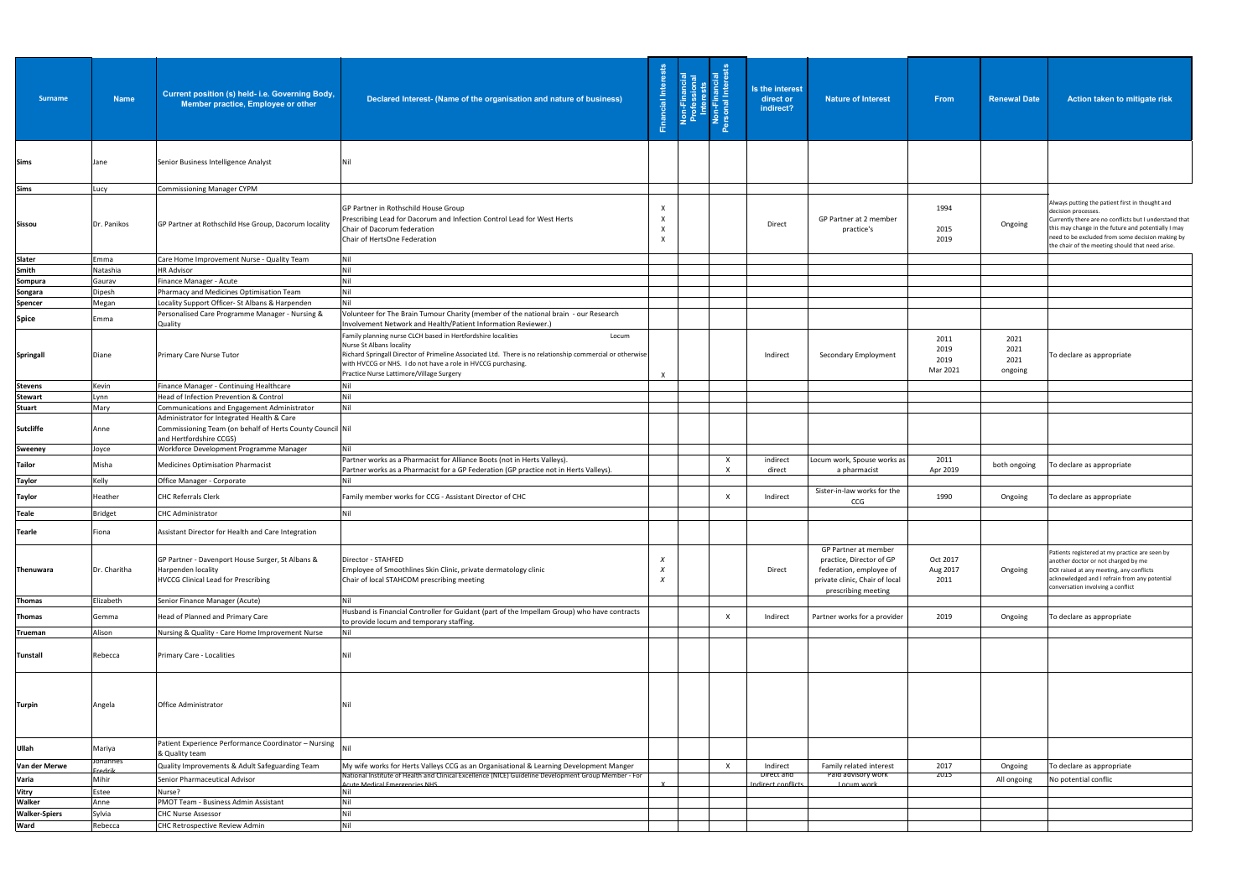| <b>Surname</b>           | <b>Name</b>             | Current position (s) held- i.e. Governing Body,<br>Member practice, Employee or other                                              | Declared Interest- (Name of the organisation and nature of business)                                                                                                                                                                                                                                                      | Financial Interests | Non-Financial<br>Personal Interests<br>nancial<br>sional<br>ests<br>$\leq$<br>52 | Is the interest<br>direct or<br>indirect? | <b>Nature of Interest</b>                                                                                                            | <b>From</b>                      | <b>Renewal Date</b>             | Action taken to mitigate risk                                                                                                                                                                                                                                                                   |
|--------------------------|-------------------------|------------------------------------------------------------------------------------------------------------------------------------|---------------------------------------------------------------------------------------------------------------------------------------------------------------------------------------------------------------------------------------------------------------------------------------------------------------------------|---------------------|----------------------------------------------------------------------------------|-------------------------------------------|--------------------------------------------------------------------------------------------------------------------------------------|----------------------------------|---------------------------------|-------------------------------------------------------------------------------------------------------------------------------------------------------------------------------------------------------------------------------------------------------------------------------------------------|
| <b>Sims</b>              | Jane                    | Senior Business Intelligence Analyst                                                                                               | INil                                                                                                                                                                                                                                                                                                                      |                     |                                                                                  |                                           |                                                                                                                                      |                                  |                                 |                                                                                                                                                                                                                                                                                                 |
| Sims                     | Lucy                    | Commissioning Manager CYPM                                                                                                         |                                                                                                                                                                                                                                                                                                                           |                     |                                                                                  |                                           |                                                                                                                                      |                                  |                                 |                                                                                                                                                                                                                                                                                                 |
| Sissou                   | Dr. Panikos             | GP Partner at Rothschild Hse Group, Dacorum locality                                                                               | GP Partner in Rothschild House Group<br>Prescribing Lead for Dacorum and Infection Control Lead for West Herts<br>Chair of Dacorum federation<br>Chair of HertsOne Federation                                                                                                                                             |                     |                                                                                  | Direct                                    | GP Partner at 2 member<br>practice's                                                                                                 | 1994<br>2015<br>2019             | Ongoing                         | Always putting the patient first in thought and<br>decision processes.<br>Currently there are no conflicts but I understand that<br>this may change in the future and potentially I may<br>need to be excluded from some decision making by<br>the chair of the meeting should that need arise. |
| <b>Slater</b>            | Emma                    | Care Home Improvement Nurse - Quality Team                                                                                         | Nil                                                                                                                                                                                                                                                                                                                       |                     |                                                                                  |                                           |                                                                                                                                      |                                  |                                 |                                                                                                                                                                                                                                                                                                 |
| <b>Smith</b>             | Natashia                | <b>HR Advisor</b><br>Finance Manager - Acute                                                                                       |                                                                                                                                                                                                                                                                                                                           |                     |                                                                                  |                                           |                                                                                                                                      |                                  |                                 |                                                                                                                                                                                                                                                                                                 |
| Sompura<br>Songara       | Gaurav<br>Dipesh        | Pharmacy and Medicines Optimisation Team                                                                                           | Nil                                                                                                                                                                                                                                                                                                                       |                     |                                                                                  |                                           |                                                                                                                                      |                                  |                                 |                                                                                                                                                                                                                                                                                                 |
| Spencer                  | Megan                   | Locality Support Officer- St Albans & Harpenden                                                                                    |                                                                                                                                                                                                                                                                                                                           |                     |                                                                                  |                                           |                                                                                                                                      |                                  |                                 |                                                                                                                                                                                                                                                                                                 |
|                          |                         | Personalised Care Programme Manager - Nursing &                                                                                    | Volunteer for The Brain Tumour Charity (member of the national brain - our Research                                                                                                                                                                                                                                       |                     |                                                                                  |                                           |                                                                                                                                      |                                  |                                 |                                                                                                                                                                                                                                                                                                 |
| Spice                    | Emma                    | Quality                                                                                                                            | Involvement Network and Health/Patient Information Reviewer.)                                                                                                                                                                                                                                                             |                     |                                                                                  |                                           |                                                                                                                                      |                                  |                                 |                                                                                                                                                                                                                                                                                                 |
| Springall                | Diane                   | <b>Primary Care Nurse Tutor</b>                                                                                                    | Family planning nurse CLCH based in Hertfordshire localities<br>Locum<br>Nurse St Albans locality<br>Richard Springall Director of Primeline Associated Ltd. There is no relationship commercial or otherwise<br>with HVCCG or NHS. I do not have a role in HVCCG purchasing.<br>Practice Nurse Lattimore/Village Surgery |                     |                                                                                  | Indirect                                  | <b>Secondary Employment</b>                                                                                                          | 2011<br>2019<br>2019<br>Mar 2021 | 2021<br>2021<br>2021<br>ongoing | To declare as appropriate                                                                                                                                                                                                                                                                       |
| <b>Stevens</b>           | Kevin                   | Finance Manager - Continuing Healthcare                                                                                            | Nil                                                                                                                                                                                                                                                                                                                       |                     |                                                                                  |                                           |                                                                                                                                      |                                  |                                 |                                                                                                                                                                                                                                                                                                 |
| <b>Stewart</b><br>Stuart | Lynn<br>Mary            | Head of Infection Prevention & Control<br>Communications and Engagement Administrator                                              | Nil<br>Nil                                                                                                                                                                                                                                                                                                                |                     |                                                                                  |                                           |                                                                                                                                      |                                  |                                 |                                                                                                                                                                                                                                                                                                 |
| Sutcliffe                | Anne                    | Administrator for Integrated Health & Care<br>Commissioning Team (on behalf of Herts County Council Nil<br>and Hertfordshire CCGS) |                                                                                                                                                                                                                                                                                                                           |                     |                                                                                  |                                           |                                                                                                                                      |                                  |                                 |                                                                                                                                                                                                                                                                                                 |
| <b>Sweeney</b>           | Joyce                   | Workforce Development Programme Manager                                                                                            | Nil                                                                                                                                                                                                                                                                                                                       |                     |                                                                                  |                                           |                                                                                                                                      |                                  |                                 |                                                                                                                                                                                                                                                                                                 |
| <b>Tailor</b>            | Misha                   | Medicines Optimisation Pharmacist                                                                                                  | Partner works as a Pharmacist for Alliance Boots (not in Herts Valleys).<br>Partner works as a Pharmacist for a GP Federation (GP practice not in Herts Valleys).                                                                                                                                                         |                     | Χ                                                                                | indirect<br>direct                        | Locum work, Spouse works as<br>a pharmacist                                                                                          | 2011<br>Apr 2019                 | both ongoing                    | To declare as appropriate                                                                                                                                                                                                                                                                       |
| <b>Taylor</b>            | Kelly                   | Office Manager - Corporate                                                                                                         |                                                                                                                                                                                                                                                                                                                           |                     |                                                                                  |                                           |                                                                                                                                      |                                  |                                 |                                                                                                                                                                                                                                                                                                 |
| <b>Taylor</b>            | Heather                 | <b>CHC Referrals Clerk</b>                                                                                                         | Family member works for CCG - Assistant Director of CHC                                                                                                                                                                                                                                                                   |                     | $\boldsymbol{\mathsf{X}}$                                                        | Indirect                                  | Sister-in-law works for the<br>CCG                                                                                                   | 1990                             | Ongoing                         | To declare as appropriate                                                                                                                                                                                                                                                                       |
| Teale                    | <b>Bridget</b>          | <b>CHC Administrator</b>                                                                                                           |                                                                                                                                                                                                                                                                                                                           |                     |                                                                                  |                                           |                                                                                                                                      |                                  |                                 |                                                                                                                                                                                                                                                                                                 |
| Tearle                   | Fiona                   | Assistant Director for Health and Care Integration                                                                                 |                                                                                                                                                                                                                                                                                                                           |                     |                                                                                  |                                           |                                                                                                                                      |                                  |                                 |                                                                                                                                                                                                                                                                                                 |
| Thenuwara                | Dr. Charitha            | GP Partner - Davenport House Surger, St Albans &<br>Harpenden locality<br><b>HVCCG Clinical Lead for Prescribing</b>               | Director - STAHFED<br>Employee of Smoothlines Skin Clinic, private dermatology clinic<br>Chair of local STAHCOM prescribing meeting                                                                                                                                                                                       |                     |                                                                                  | Direct                                    | GP Partner at member<br>practice, Director of GP<br>federation, employee of<br>private clinic, Chair of local<br>prescribing meeting | Oct 2017<br>Aug 2017<br>2011     | Ongoing                         | Patients registered at my practice are seen by<br>another doctor or not charged by me<br>DOI raised at any meeting, any conflicts<br>acknowledged and I refrain from any potential<br>conversation involving a conflict                                                                         |
| Thomas                   | Elizabeth               | Senior Finance Manager (Acute)                                                                                                     | Husband is Financial Controller for Guidant (part of the Impellam Group) who have contracts                                                                                                                                                                                                                               |                     |                                                                                  |                                           |                                                                                                                                      |                                  |                                 |                                                                                                                                                                                                                                                                                                 |
| Thomas                   | Gemma                   | Head of Planned and Primary Care                                                                                                   | to provide locum and temporary staffing.                                                                                                                                                                                                                                                                                  |                     | X                                                                                | Indirect                                  | Partner works for a provider                                                                                                         | 2019                             | Ongoing                         | To declare as appropriate                                                                                                                                                                                                                                                                       |
| Trueman                  | Alison                  | Nursing & Quality - Care Home Improvement Nurse                                                                                    | Nil                                                                                                                                                                                                                                                                                                                       |                     |                                                                                  |                                           |                                                                                                                                      |                                  |                                 |                                                                                                                                                                                                                                                                                                 |
| Tunstall                 | Rebecca                 | <b>Primary Care - Localities</b>                                                                                                   |                                                                                                                                                                                                                                                                                                                           |                     |                                                                                  |                                           |                                                                                                                                      |                                  |                                 |                                                                                                                                                                                                                                                                                                 |
| Turpin                   | Angela                  | Office Administrator                                                                                                               |                                                                                                                                                                                                                                                                                                                           |                     |                                                                                  |                                           |                                                                                                                                      |                                  |                                 |                                                                                                                                                                                                                                                                                                 |
| Ullah                    | Mariya                  | Patient Experience Performance Coordinator - Nursing<br>& Quality team                                                             |                                                                                                                                                                                                                                                                                                                           |                     |                                                                                  |                                           |                                                                                                                                      |                                  |                                 |                                                                                                                                                                                                                                                                                                 |
| Van der Merwe            | Johannes                | Quality Improvements & Adult Safeguarding Team                                                                                     | My wife works for Herts Valleys CCG as an Organisational & Learning Development Manger                                                                                                                                                                                                                                    |                     | $\boldsymbol{\mathsf{X}}$                                                        | Indirect                                  | Family related interest                                                                                                              | 2017                             | Ongoing                         | To declare as appropriate                                                                                                                                                                                                                                                                       |
| <b>Varia</b>             | <b>Fredrik</b><br>Mihir | Senior Pharmaceutical Advisor                                                                                                      | National Institute of Health and Clinical Excellence (NICE) Guideline Development Group Member - For                                                                                                                                                                                                                      |                     |                                                                                  | Direct and                                | Paid advisory work                                                                                                                   | 2015                             | All ongoing                     | No potential conflic                                                                                                                                                                                                                                                                            |
| <b>Vitry</b>             | Estee                   | Nurse?                                                                                                                             | <b>Acute Medical Emergencies NHS</b>                                                                                                                                                                                                                                                                                      |                     |                                                                                  | Indirect conflicts                        | Locum work                                                                                                                           |                                  |                                 |                                                                                                                                                                                                                                                                                                 |
| <b>Walker</b>            | Anne                    | PMOT Team - Business Admin Assistant                                                                                               | Nil                                                                                                                                                                                                                                                                                                                       |                     |                                                                                  |                                           |                                                                                                                                      |                                  |                                 |                                                                                                                                                                                                                                                                                                 |
| <b>Walker-Spiers</b>     | Sylvia                  | <b>CHC Nurse Assessor</b>                                                                                                          |                                                                                                                                                                                                                                                                                                                           |                     |                                                                                  |                                           |                                                                                                                                      |                                  |                                 |                                                                                                                                                                                                                                                                                                 |
| <b>Ward</b>              | Rebecca                 | CHC Retrospective Review Admin                                                                                                     | Nil                                                                                                                                                                                                                                                                                                                       |                     |                                                                                  |                                           |                                                                                                                                      |                                  |                                 |                                                                                                                                                                                                                                                                                                 |